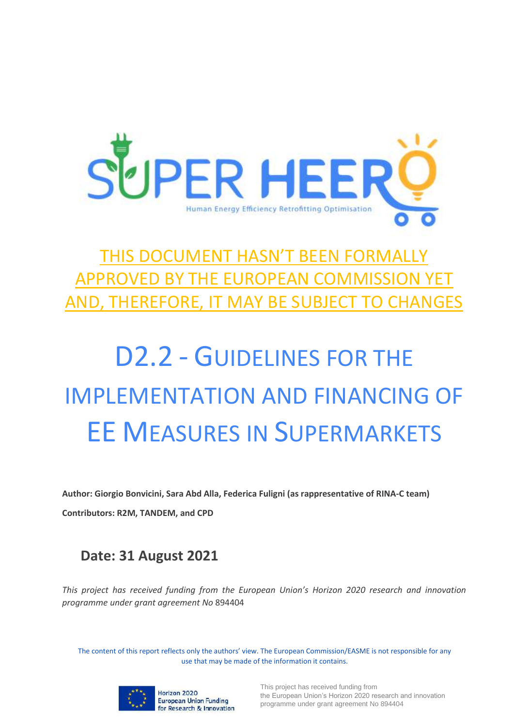

# THIS DOCUMENT HASN'T BEEN FORMALLY APPROVED BY THE EUROPEAN COMMISSION YET AND, THEREFORE, IT MAY BE SUBJECT TO CHANGES

# D2.2 - GUIDELINES FOR THE IMPLEMENTATION AND FINANCING OF EE MEASURES IN SUPERMARKETS

**Author: Giorgio Bonvicini, Sara Abd Alla, Federica Fuligni (as rappresentative of RINA-C team) Contributors: R2M, TANDEM, and CPD**

# **Date: 31 August 2021**

*This project has received funding from the European Union's Horizon 2020 research and innovation programme under grant agreement No* 894404

The content of this report reflects only the authors' view. The European Commission/EASME is not responsible for any use that may be made of the information it contains.

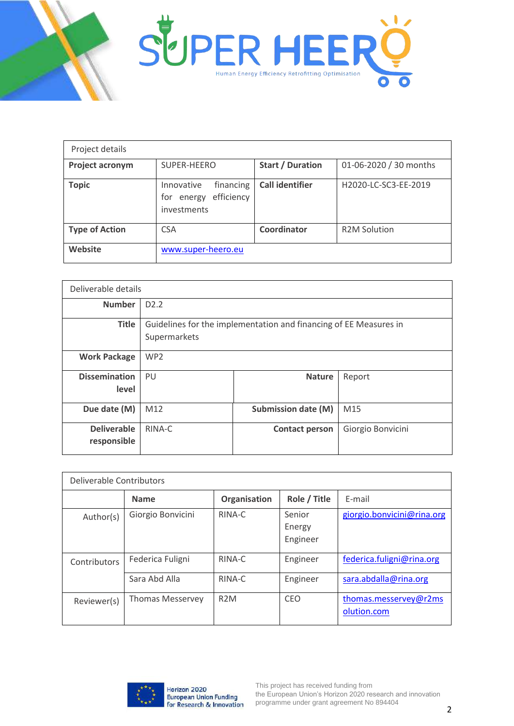

| Project details       |                                                                    |                         |                        |  |
|-----------------------|--------------------------------------------------------------------|-------------------------|------------------------|--|
| Project acronym       | SUPER-HEERO                                                        | <b>Start / Duration</b> | 01-06-2020 / 30 months |  |
| <b>Topic</b>          | financing<br>Innovative<br>efficiency<br>for energy<br>investments | <b>Call identifier</b>  | H2020-LC-SC3-EE-2019   |  |
| <b>Type of Action</b> | <b>CSA</b>                                                         | Coordinator             | <b>R2M Solution</b>    |  |
| Website               | www.super-heero.eu                                                 |                         |                        |  |

| Deliverable details               |                                                                                   |                            |                   |  |
|-----------------------------------|-----------------------------------------------------------------------------------|----------------------------|-------------------|--|
| <b>Number</b>                     | D <sub>2.2</sub>                                                                  |                            |                   |  |
| <b>Title</b>                      | Guidelines for the implementation and financing of EE Measures in<br>Supermarkets |                            |                   |  |
| <b>Work Package</b>               | WP <sub>2</sub>                                                                   |                            |                   |  |
| <b>Dissemination</b><br>level     | PU                                                                                | <b>Nature</b>              | Report            |  |
| Due date (M)                      | M12                                                                               | <b>Submission date (M)</b> | M15               |  |
| <b>Deliverable</b><br>responsible | RINA-C                                                                            | <b>Contact person</b>      | Giorgio Bonvicini |  |

| Deliverable Contributors |                         |                  |                              |                                      |
|--------------------------|-------------------------|------------------|------------------------------|--------------------------------------|
|                          | <b>Name</b>             | Organisation     | Role / Title                 | E-mail                               |
| Author(s)                | Giorgio Bonvicini       | RINA-C           | Senior<br>Energy<br>Engineer | giorgio.bonvicini@rina.org           |
| Contributors             | Federica Fuligni        | RINA-C           | Engineer                     | federica.fuligni@rina.org            |
|                          | Sara Abd Alla           | RINA-C           | Engineer                     | sara.abdalla@rina.org                |
| Reviewer(s)              | <b>Thomas Messervey</b> | R <sub>2</sub> M | CEO                          | thomas.messervey@r2ms<br>olution.com |

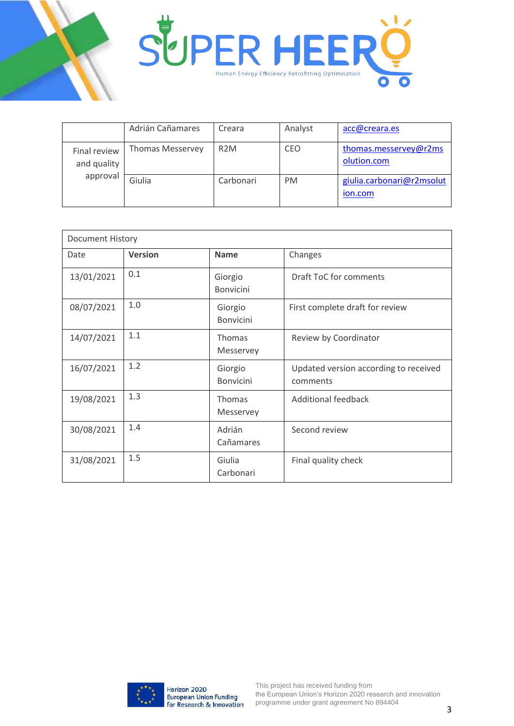



|                                         | Adrián Cañamares        | Creara           | Analyst   | acc@creara.es                        |
|-----------------------------------------|-------------------------|------------------|-----------|--------------------------------------|
| Final review<br>and quality<br>approval | <b>Thomas Messervey</b> | R <sub>2</sub> M | CEO       | thomas.messervey@r2ms<br>olution.com |
|                                         | Giulia                  | Carbonari        | <b>PM</b> | giulia.carbonari@r2msolut<br>ion.com |

| Document History |                |                             |                                                   |
|------------------|----------------|-----------------------------|---------------------------------------------------|
| Date             | <b>Version</b> | <b>Name</b>                 | Changes                                           |
| 13/01/2021       | 0.1            | Giorgio<br><b>Bonvicini</b> | <b>Draft ToC for comments</b>                     |
| 08/07/2021       | 1.0            | Giorgio<br><b>Bonvicini</b> | First complete draft for review                   |
| 14/07/2021       | 1.1            | <b>Thomas</b><br>Messervey  | Review by Coordinator                             |
| 16/07/2021       | 1.2            | Giorgio<br><b>Bonvicini</b> | Updated version according to received<br>comments |
| 19/08/2021       | 1.3            | Thomas<br>Messervey         | <b>Additional feedback</b>                        |
| 30/08/2021       | 1.4            | Adrián<br>Cañamares         | Second review                                     |
| 31/08/2021       | 1.5            | Giulia<br>Carbonari         | Final quality check                               |

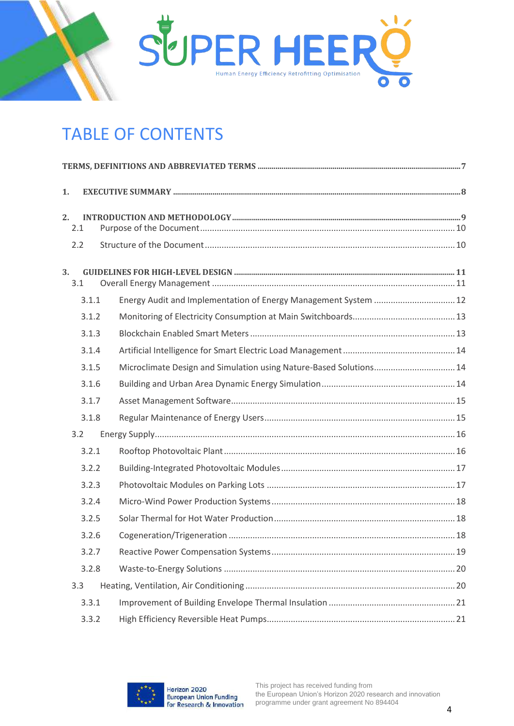

# TABLE OF CONTENTS

| 1.        |                                                                    |  |
|-----------|--------------------------------------------------------------------|--|
| 2.<br>2.1 |                                                                    |  |
| 2.2       |                                                                    |  |
| 3.<br>3.1 |                                                                    |  |
| 3.1.1     | Energy Audit and Implementation of Energy Management System  12    |  |
| 3.1.2     |                                                                    |  |
| 3.1.3     |                                                                    |  |
| 3.1.4     |                                                                    |  |
| 3.1.5     | Microclimate Design and Simulation using Nature-Based Solutions 14 |  |
| 3.1.6     |                                                                    |  |
| 3.1.7     |                                                                    |  |
| 3.1.8     |                                                                    |  |
| 3.2       |                                                                    |  |
| 3.2.1     |                                                                    |  |
| 3.2.2     |                                                                    |  |
| 3.2.3     |                                                                    |  |
| 3.2.4     |                                                                    |  |
| 3.2.5     |                                                                    |  |
| 3.2.6     |                                                                    |  |
| 3.2.7     |                                                                    |  |
| 3.2.8     |                                                                    |  |
| 3.3       |                                                                    |  |
| 3.3.1     |                                                                    |  |
| 3.3.2     |                                                                    |  |

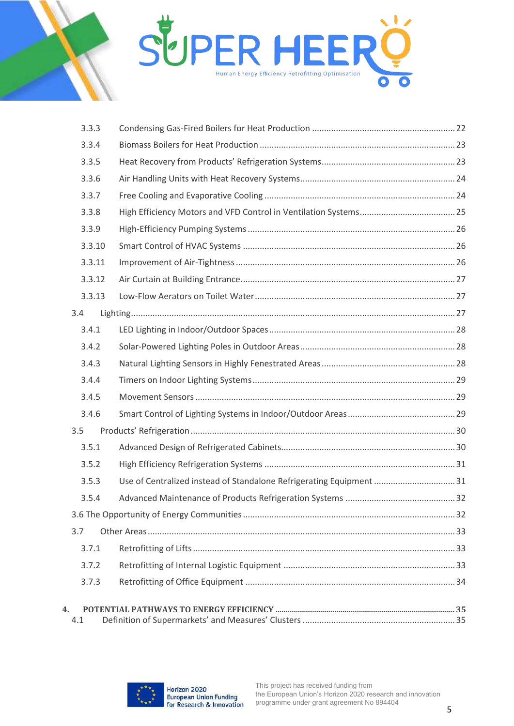

| 3.3.3  |                                                                     |    |
|--------|---------------------------------------------------------------------|----|
| 3.3.4  |                                                                     |    |
| 3.3.5  |                                                                     |    |
| 3.3.6  |                                                                     |    |
| 3.3.7  |                                                                     |    |
| 3.3.8  |                                                                     |    |
| 3.3.9  |                                                                     |    |
| 3.3.10 |                                                                     |    |
| 3.3.11 |                                                                     |    |
| 3.3.12 |                                                                     |    |
| 3.3.13 |                                                                     |    |
| 3.4    |                                                                     |    |
| 3.4.1  |                                                                     |    |
| 3.4.2  |                                                                     |    |
| 3.4.3  |                                                                     |    |
| 3.4.4  |                                                                     |    |
| 3.4.5  |                                                                     |    |
| 3.4.6  |                                                                     |    |
| 3.5    |                                                                     |    |
| 3.5.1  |                                                                     |    |
| 3.5.2  |                                                                     |    |
| 3.5.3  | Use of Centralized instead of Standalone Refrigerating Equipment 31 |    |
| 3.5.4  |                                                                     |    |
|        |                                                                     |    |
| 3.7    |                                                                     |    |
| 3.7.1  |                                                                     |    |
| 3.7.2  |                                                                     |    |
| 3.7.3  |                                                                     |    |
|        |                                                                     |    |
|        | <b>POTENTIAL PATHWAVS TO ENERGY EFFICIENCY</b>                      | 35 |

**4. [POTENTIAL PATHWAYS TO ENERGY EFFICIENCY](#page-34-0) ...........................................................................................35** 4.1 [Definition of Supermarkets' and Measures' Clusters](#page-34-1)................................................................35

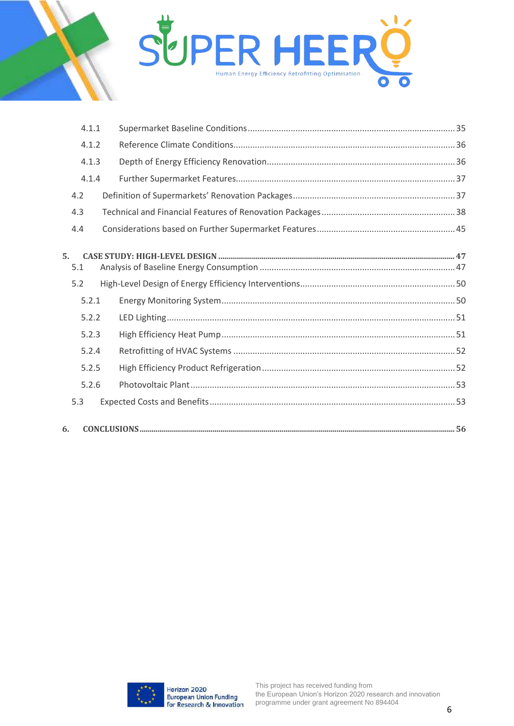

|    | 4.1.1                                                            |  |
|----|------------------------------------------------------------------|--|
|    | 4.1.2                                                            |  |
|    | 4.1.3                                                            |  |
|    | 4.1.4                                                            |  |
|    | 4.2                                                              |  |
|    | 4.3                                                              |  |
|    | 4.4                                                              |  |
| 5. | 5.1<br>5.2<br>5.2.1<br>5.2.2<br>5.2.3<br>5.2.4<br>5.2.5<br>5.2.6 |  |
|    | 5.3                                                              |  |
| 6. |                                                                  |  |

 $\bullet$ 

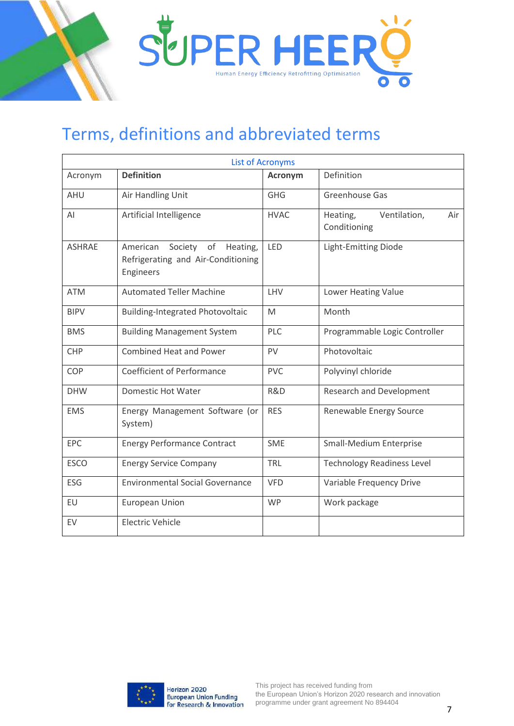

# <span id="page-6-0"></span>Terms, definitions and abbreviated terms

| <b>List of Acronyms</b> |                                                                                       |             |                                                 |
|-------------------------|---------------------------------------------------------------------------------------|-------------|-------------------------------------------------|
| Acronym                 | <b>Definition</b>                                                                     | Acronym     | Definition                                      |
| AHU                     | Air Handling Unit                                                                     | <b>GHG</b>  | Greenhouse Gas                                  |
| AI                      | Artificial Intelligence                                                               | <b>HVAC</b> | Heating,<br>Ventilation,<br>Air<br>Conditioning |
| <b>ASHRAE</b>           | American<br>Society of<br>Heating,<br>Refrigerating and Air-Conditioning<br>Engineers | LED         | <b>Light-Emitting Diode</b>                     |
| <b>ATM</b>              | <b>Automated Teller Machine</b>                                                       | LHV         | Lower Heating Value                             |
| <b>BIPV</b>             | <b>Building-Integrated Photovoltaic</b>                                               | M           | Month                                           |
| <b>BMS</b>              | <b>Building Management System</b>                                                     | <b>PLC</b>  | Programmable Logic Controller                   |
| <b>CHP</b>              | <b>Combined Heat and Power</b>                                                        | PV          | Photovoltaic                                    |
| COP                     | <b>Coefficient of Performance</b>                                                     | <b>PVC</b>  | Polyvinyl chloride                              |
| <b>DHW</b>              | <b>Domestic Hot Water</b>                                                             | R&D         | <b>Research and Development</b>                 |
| <b>EMS</b>              | Energy Management Software (or<br>System)                                             | <b>RES</b>  | Renewable Energy Source                         |
| EPC                     | <b>Energy Performance Contract</b>                                                    | <b>SME</b>  | <b>Small-Medium Enterprise</b>                  |
| <b>ESCO</b>             | <b>Energy Service Company</b>                                                         | <b>TRL</b>  | <b>Technology Readiness Level</b>               |
| <b>ESG</b>              | <b>Environmental Social Governance</b>                                                | <b>VFD</b>  | Variable Frequency Drive                        |
| EU                      | European Union                                                                        | <b>WP</b>   | Work package                                    |
| EV                      | <b>Electric Vehicle</b>                                                               |             |                                                 |



7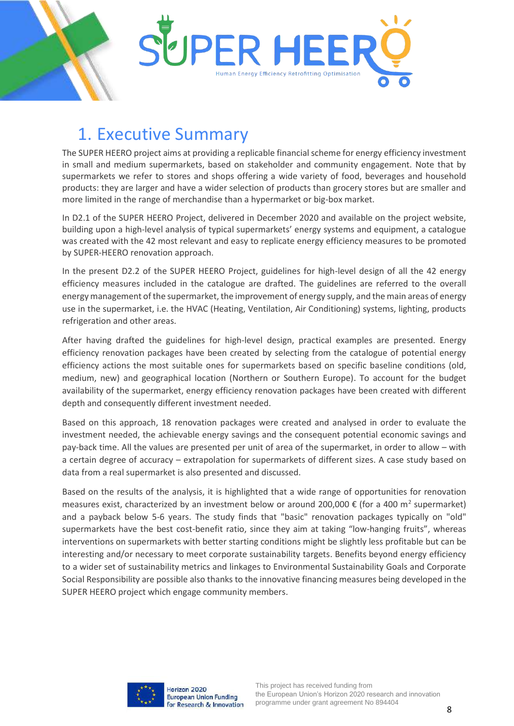

# <span id="page-7-0"></span>1. Executive Summary

The SUPER HEERO project aims at providing a replicable financial scheme for energy efficiency investment in small and medium supermarkets, based on stakeholder and community engagement. Note that by supermarkets we refer to stores and shops offering a wide variety of food, beverages and household products: they are larger and have a wider selection of products than grocery stores but are smaller and more limited in the range of merchandise than a hypermarket or big-box market.

In D2.1 of the SUPER HEERO Project, delivered in December 2020 and available on the project website, building upon a high-level analysis of typical supermarkets' energy systems and equipment, a catalogue was created with the 42 most relevant and easy to replicate energy efficiency measures to be promoted by SUPER-HEERO renovation approach.

In the present D2.2 of the SUPER HEERO Project, guidelines for high-level design of all the 42 energy efficiency measures included in the catalogue are drafted. The guidelines are referred to the overall energy management of the supermarket, the improvement of energy supply, and the main areas of energy use in the supermarket, i.e. the HVAC (Heating, Ventilation, Air Conditioning) systems, lighting, products refrigeration and other areas.

After having drafted the guidelines for high-level design, practical examples are presented. Energy efficiency renovation packages have been created by selecting from the catalogue of potential energy efficiency actions the most suitable ones for supermarkets based on specific baseline conditions (old, medium, new) and geographical location (Northern or Southern Europe). To account for the budget availability of the supermarket, energy efficiency renovation packages have been created with different depth and consequently different investment needed.

Based on this approach, 18 renovation packages were created and analysed in order to evaluate the investment needed, the achievable energy savings and the consequent potential economic savings and pay-back time. All the values are presented per unit of area of the supermarket, in order to allow – with a certain degree of accuracy – extrapolation for supermarkets of different sizes. A case study based on data from a real supermarket is also presented and discussed.

Based on the results of the analysis, it is highlighted that a wide range of opportunities for renovation measures exist, characterized by an investment below or around 200,000  $\epsilon$  (for a 400 m<sup>2</sup> supermarket) and a payback below 5-6 years. The study finds that "basic" renovation packages typically on "old" supermarkets have the best cost-benefit ratio, since they aim at taking "low-hanging fruits", whereas interventions on supermarkets with better starting conditions might be slightly less profitable but can be interesting and/or necessary to meet corporate sustainability targets. Benefits beyond energy efficiency to a wider set of sustainability metrics and linkages to Environmental Sustainability Goals and Corporate Social Responsibility are possible also thanks to the innovative financing measures being developed in the SUPER HEERO project which engage community members.

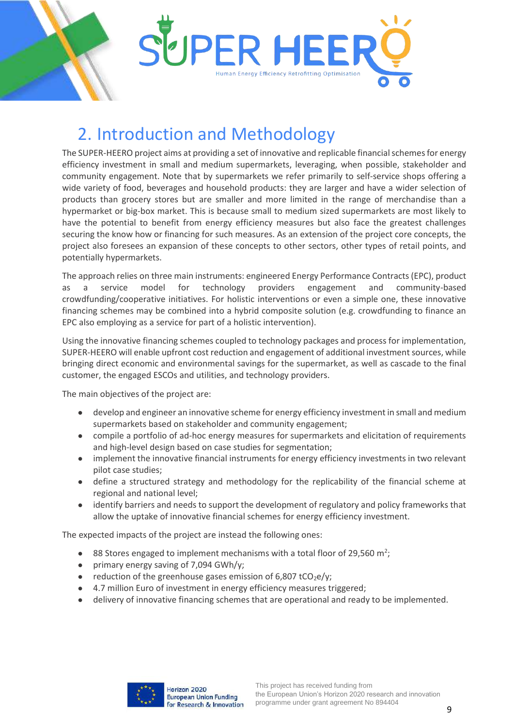

# <span id="page-8-0"></span>2. Introduction and Methodology

The SUPER-HEERO project aims at providing a set of innovative and replicable financial schemes for energy efficiency investment in small and medium supermarkets, leveraging, when possible, stakeholder and community engagement. Note that by supermarkets we refer primarily to self-service shops offering a wide variety of food, beverages and household products: they are larger and have a wider selection of products than grocery stores but are smaller and more limited in the range of merchandise than a hypermarket or big-box market. This is because small to medium sized supermarkets are most likely to have the potential to benefit from energy efficiency measures but also face the greatest challenges securing the know how or financing for such measures. As an extension of the project core concepts, the project also foresees an expansion of these concepts to other sectors, other types of retail points, and potentially hypermarkets.

The approach relies on three main instruments: engineered Energy Performance Contracts (EPC), product as a service model for technology providers engagement and community-based crowdfunding/cooperative initiatives. For holistic interventions or even a simple one, these innovative financing schemes may be combined into a hybrid composite solution (e.g. crowdfunding to finance an EPC also employing as a service for part of a holistic intervention).

Using the innovative financing schemes coupled to technology packages and process for implementation, SUPER-HEERO will enable upfront cost reduction and engagement of additional investment sources, while bringing direct economic and environmental savings for the supermarket, as well as cascade to the final customer, the engaged ESCOs and utilities, and technology providers.

The main objectives of the project are:

- develop and engineer an innovative scheme for energy efficiency investment in small and medium supermarkets based on stakeholder and community engagement;
- compile a portfolio of ad-hoc energy measures for supermarkets and elicitation of requirements and high-level design based on case studies for segmentation;
- implement the innovative financial instruments for energy efficiency investments in two relevant pilot case studies;
- define a structured strategy and methodology for the replicability of the financial scheme at regional and national level;
- identify barriers and needs to support the development of regulatory and policy frameworks that allow the uptake of innovative financial schemes for energy efficiency investment.

The expected impacts of the project are instead the following ones:

- 88 Stores engaged to implement mechanisms with a total floor of 29,560 m<sup>2</sup>;
- primary energy saving of 7,094 GWh/y;
- reduction of the greenhouse gases emission of  $6,807$  tCO<sub>2</sub>e/y;
- 4.7 million Euro of investment in energy efficiency measures triggered;
- delivery of innovative financing schemes that are operational and ready to be implemented.

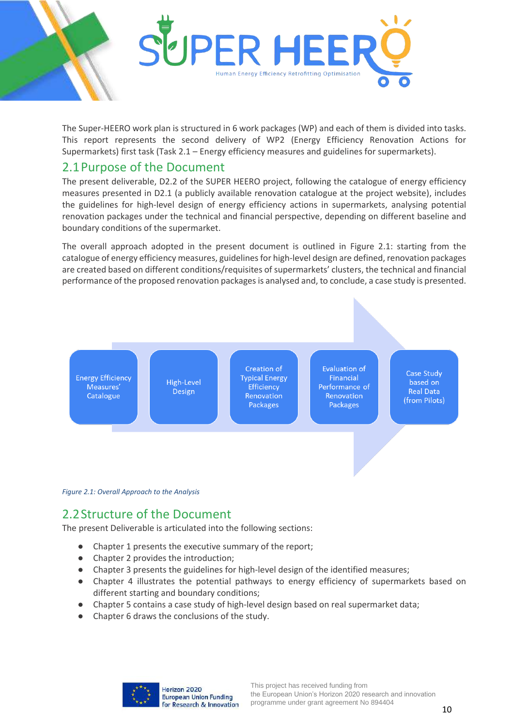

The Super-HEERO work plan is structured in 6 work packages (WP) and each of them is divided into tasks. This report represents the second delivery of WP2 (Energy Efficiency Renovation Actions for Supermarkets) first task (Task 2.1 – Energy efficiency measures and guidelines for supermarkets).

### <span id="page-9-0"></span>2.1Purpose of the Document

The present deliverable, D2.2 of the SUPER HEERO project, following the catalogue of energy efficiency measures presented in D2.1 (a publicly available renovation catalogue at the project website), includes the guidelines for high-level design of energy efficiency actions in supermarkets, analysing potential renovation packages under the technical and financial perspective, depending on different baseline and boundary conditions of the supermarket.

The overall approach adopted in the present document is outlined in [Figure 2.1:](#page-9-2) starting from the catalogue of energy efficiency measures, guidelines for high-level design are defined, renovation packages are created based on different conditions/requisites of supermarkets' clusters, the technical and financial performance of the proposed renovation packages is analysed and, to conclude, a case study is presented.

**Energy Efficiency** Measures' Catalogue

High-Level Design

Creation of **Typical Energy** Efficiency Renovation Packages

**Evaluation of** Financial Performance of Renovation **Packages** 

Case Study based on Real Data (from Pilots)

<span id="page-9-2"></span>*Figure 2.1: Overall Approach to the Analysis*

# <span id="page-9-1"></span>2.2Structure of the Document

The present Deliverable is articulated into the following sections:

- Chapter 1 presents the executive summary of the report;
- Chapter 2 provides the introduction;
- Chapter 3 presents the guidelines for high-level design of the identified measures;
- Chapter 4 illustrates the potential pathways to energy efficiency of supermarkets based on different starting and boundary conditions;
- Chapter 5 contains a case study of high-level design based on real supermarket data;
- Chapter 6 draws the conclusions of the study.

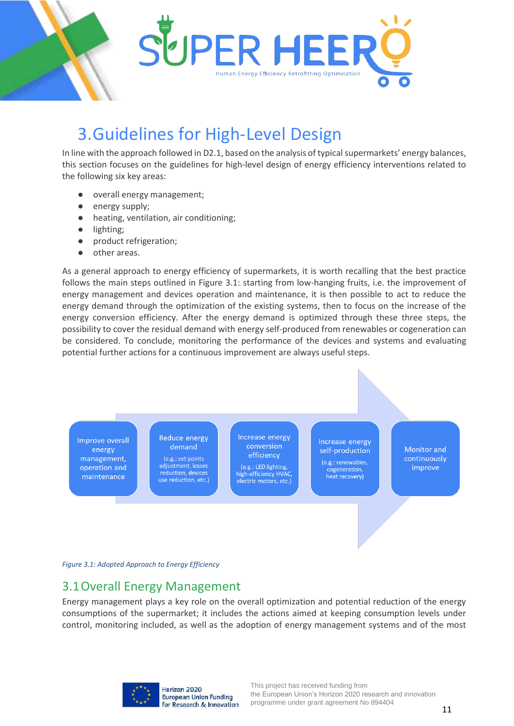

# <span id="page-10-0"></span>3.Guidelines for High-Level Design

In line with the approach followed in D2.1, based on the analysis of typical supermarkets' energy balances, this section focuses on the guidelines for high-level design of energy efficiency interventions related to the following six key areas:

- overall energy management;
- energy supply;
- heating, ventilation, air conditioning;
- lighting;
- product refrigeration;
- other areas.

As a general approach to energy efficiency of supermarkets, it is worth recalling that the best practice follows the main steps outlined in [Figure 3.1:](#page-10-2) starting from low-hanging fruits, i.e. the improvement of energy management and devices operation and maintenance, it is then possible to act to reduce the energy demand through the optimization of the existing systems, then to focus on the increase of the energy conversion efficiency. After the energy demand is optimized through these three steps, the possibility to cover the residual demand with energy self-produced from renewables or cogeneration can be considered. To conclude, monitoring the performance of the devices and systems and evaluating potential further actions for a continuous improvement are always useful steps.

Improve overall energy management, operation and maintenance

Reduce energy demand (e.g.: set points adjustment, losses reduction, devices

use reduction, etc.

Increase energy conversion efficiency (e.g.: LED lighting, high-efficiency HVAC

electric motors, etc.

Increase energy self-production

(e.g.: renewables, cogeneration heat recovery)

Monitor and continuously improve

#### <span id="page-10-2"></span>*Figure 3.1: Adopted Approach to Energy Efficiency*

### <span id="page-10-1"></span>3.1Overall Energy Management

Energy management plays a key role on the overall optimization and potential reduction of the energy consumptions of the supermarket; it includes the actions aimed at keeping consumption levels under control, monitoring included, as well as the adoption of energy management systems and of the most

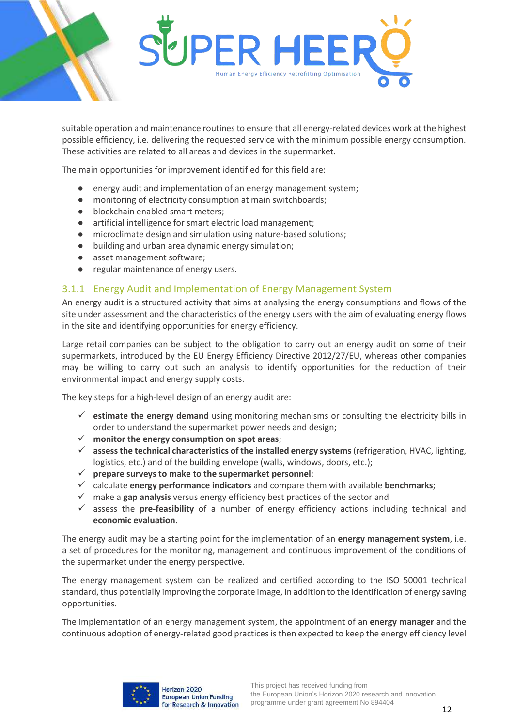

suitable operation and maintenance routines to ensure that all energy-related devices work at the highest possible efficiency, i.e. delivering the requested service with the minimum possible energy consumption. These activities are related to all areas and devices in the supermarket.

The main opportunities for improvement identified for this field are:

- energy audit and implementation of an energy management system;
- monitoring of electricity consumption at main switchboards;
- blockchain enabled smart meters;
- artificial intelligence for smart electric load management;
- microclimate design and simulation using nature-based solutions;
- building and urban area dynamic energy simulation;
- asset management software;
- regular maintenance of energy users.

#### <span id="page-11-0"></span>3.1.1 Energy Audit and Implementation of Energy Management System

An energy audit is a structured activity that aims at analysing the energy consumptions and flows of the site under assessment and the characteristics of the energy users with the aim of evaluating energy flows in the site and identifying opportunities for energy efficiency.

Large retail companies can be subject to the obligation to carry out an energy audit on some of their supermarkets, introduced by the EU Energy Efficiency Directive 2012/27/EU, whereas other companies may be willing to carry out such an analysis to identify opportunities for the reduction of their environmental impact and energy supply costs.

The key steps for a high-level design of an energy audit are:

- $\checkmark$  estimate the energy demand using monitoring mechanisms or consulting the electricity bills in order to understand the supermarket power needs and design;
- ✓ **monitor the energy consumption on spot areas**;
- ✓ **assess the technical characteristics of the installed energy systems**(refrigeration, HVAC, lighting, logistics, etc.) and of the building envelope (walls, windows, doors, etc.);
- ✓ **prepare surveys to make to the supermarket personnel**;
- ✓ calculate **energy performance indicators** and compare them with available **benchmarks**;
- ✓ make a **gap analysis** versus energy efficiency best practices of the sector and
- ✓ assess the **pre-feasibility** of a number of energy efficiency actions including technical and **economic evaluation**.

The energy audit may be a starting point for the implementation of an **energy management system**, i.e. a set of procedures for the monitoring, management and continuous improvement of the conditions of the supermarket under the energy perspective.

The energy management system can be realized and certified according to the ISO 50001 technical standard, thus potentially improving the corporate image, in addition to the identification of energy saving opportunities.

The implementation of an energy management system, the appointment of an **energy manager** and the continuous adoption of energy-related good practices is then expected to keep the energy efficiency level

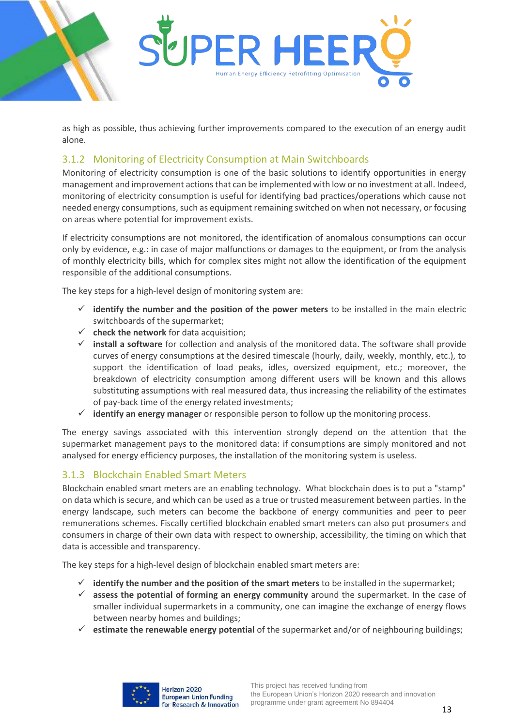

as high as possible, thus achieving further improvements compared to the execution of an energy audit alone.

#### <span id="page-12-0"></span>3.1.2 Monitoring of Electricity Consumption at Main Switchboards

Monitoring of electricity consumption is one of the basic solutions to identify opportunities in energy management and improvement actions that can be implemented with low or no investment at all. Indeed, monitoring of electricity consumption is useful for identifying bad practices/operations which cause not needed energy consumptions, such as equipment remaining switched on when not necessary, or focusing on areas where potential for improvement exists.

If electricity consumptions are not monitored, the identification of anomalous consumptions can occur only by evidence, e.g.: in case of major malfunctions or damages to the equipment, or from the analysis of monthly electricity bills, which for complex sites might not allow the identification of the equipment responsible of the additional consumptions.

The key steps for a high-level design of monitoring system are:

- ✓ **identify the number and the position of the power meters** to be installed in the main electric switchboards of the supermarket;
- ✓ **check the network** for data acquisition;
- ✓ **install a software** for collection and analysis of the monitored data. The software shall provide curves of energy consumptions at the desired timescale (hourly, daily, weekly, monthly, etc.), to support the identification of load peaks, idles, oversized equipment, etc.; moreover, the breakdown of electricity consumption among different users will be known and this allows substituting assumptions with real measured data, thus increasing the reliability of the estimates of pay-back time of the energy related investments;
- identify an energy manager or responsible person to follow up the monitoring process.

The energy savings associated with this intervention strongly depend on the attention that the supermarket management pays to the monitored data: if consumptions are simply monitored and not analysed for energy efficiency purposes, the installation of the monitoring system is useless.

#### <span id="page-12-1"></span>3.1.3 Blockchain Enabled Smart Meters

Blockchain enabled smart meters are an enabling technology. What blockchain does is to put a "stamp" on data which is secure, and which can be used as a true or trusted measurement between parties. In the energy landscape, such meters can become the backbone of energy communities and peer to peer remunerations schemes. Fiscally certified blockchain enabled smart meters can also put prosumers and consumers in charge of their own data with respect to ownership, accessibility, the timing on which that data is accessible and transparency.

The key steps for a high-level design of blockchain enabled smart meters are:

- ✓ **identify the number and the position of the smart meters** to be installed in the supermarket;
- ✓ **assess the potential of forming an energy community** around the supermarket. In the case of smaller individual supermarkets in a community, one can imagine the exchange of energy flows between nearby homes and buildings;
- ✓ **estimate the renewable energy potential** of the supermarket and/or of neighbouring buildings;

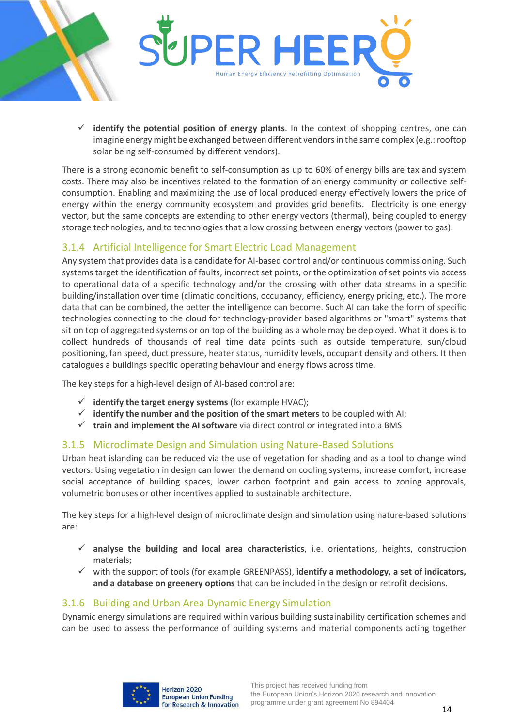

✓ **identify the potential position of energy plants**. In the context of shopping centres, one can imagine energy might be exchanged between different vendors in the same complex (e.g.: rooftop solar being self-consumed by different vendors).

There is a strong economic benefit to self-consumption as up to 60% of energy bills are tax and system costs. There may also be incentives related to the formation of an energy community or collective selfconsumption. Enabling and maximizing the use of local produced energy effectively lowers the price of energy within the energy community ecosystem and provides grid benefits. Electricity is one energy vector, but the same concepts are extending to other energy vectors (thermal), being coupled to energy storage technologies, and to technologies that allow crossing between energy vectors (power to gas).

#### <span id="page-13-0"></span>3.1.4 Artificial Intelligence for Smart Electric Load Management

Any system that provides data is a candidate for AI-based control and/or continuous commissioning. Such systems target the identification of faults, incorrect set points, or the optimization of set points via access to operational data of a specific technology and/or the crossing with other data streams in a specific building/installation over time (climatic conditions, occupancy, efficiency, energy pricing, etc.). The more data that can be combined, the better the intelligence can become. Such AI can take the form of specific technologies connecting to the cloud for technology-provider based algorithms or "smart" systems that sit on top of aggregated systems or on top of the building as a whole may be deployed. What it does is to collect hundreds of thousands of real time data points such as outside temperature, sun/cloud positioning, fan speed, duct pressure, heater status, humidity levels, occupant density and others. It then catalogues a buildings specific operating behaviour and energy flows across time.

The key steps for a high-level design of AI-based control are:

- ✓ **identify the target energy systems** (for example HVAC);
- $\checkmark$  **identify the number and the position of the smart meters** to be coupled with AI;
- ✓ **train and implement the AI software** via direct control or integrated into a BMS

#### <span id="page-13-1"></span>3.1.5 Microclimate Design and Simulation using Nature-Based Solutions

Urban heat islanding can be reduced via the use of vegetation for shading and as a tool to change wind vectors. Using vegetation in design can lower the demand on cooling systems, increase comfort, increase social acceptance of building spaces, lower carbon footprint and gain access to zoning approvals, volumetric bonuses or other incentives applied to sustainable architecture.

The key steps for a high-level design of microclimate design and simulation using nature-based solutions are:

- ✓ **analyse the building and local area characteristics**, i.e. orientations, heights, construction materials;
- ✓ with the support of tools (for example GREENPASS), **identify a methodology, a set of indicators, and a database on greenery options** that can be included in the design or retrofit decisions.

#### <span id="page-13-2"></span>3.1.6 Building and Urban Area Dynamic Energy Simulation

Dynamic energy simulations are required within various building sustainability certification schemes and can be used to assess the performance of building systems and material components acting together

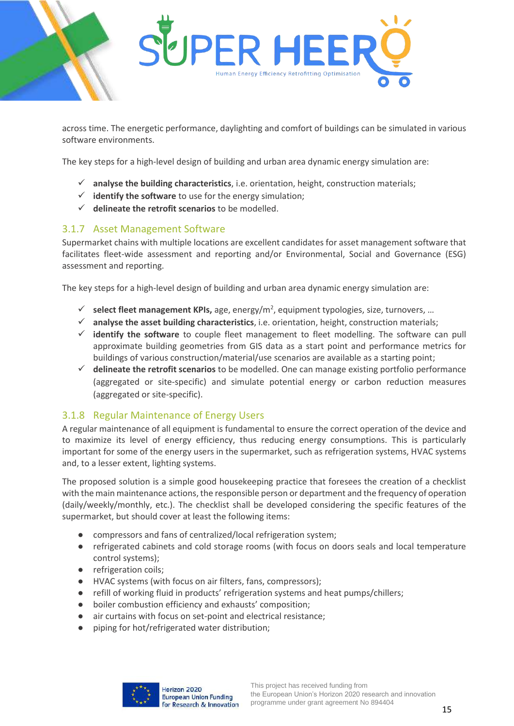

across time. The energetic performance, daylighting and comfort of buildings can be simulated in various software environments.

The key steps for a high-level design of building and urban area dynamic energy simulation are:

- ✓ **analyse the building characteristics**, i.e. orientation, height, construction materials;
- ✓ **identify the software** to use for the energy simulation;
- ✓ **delineate the retrofit scenarios** to be modelled.

#### <span id="page-14-0"></span>3.1.7 Asset Management Software

Supermarket chains with multiple locations are excellent candidates for asset management software that facilitates fleet-wide assessment and reporting and/or Environmental, Social and Governance (ESG) assessment and reporting.

The key steps for a high-level design of building and urban area dynamic energy simulation are:

- ✓ **select fleet management KPIs,** age, energy/m<sup>2</sup> , equipment typologies, size, turnovers, …
- ✓ **analyse the asset building characteristics**, i.e. orientation, height, construction materials;
- ✓ **identify the software** to couple fleet management to fleet modelling. The software can pull approximate building geometries from GIS data as a start point and performance metrics for buildings of various construction/material/use scenarios are available as a starting point;
- ✓ **delineate the retrofit scenarios** to be modelled. One can manage existing portfolio performance (aggregated or site-specific) and simulate potential energy or carbon reduction measures (aggregated or site-specific).

#### <span id="page-14-1"></span>3.1.8 Regular Maintenance of Energy Users

A regular maintenance of all equipment is fundamental to ensure the correct operation of the device and to maximize its level of energy efficiency, thus reducing energy consumptions. This is particularly important for some of the energy users in the supermarket, such as refrigeration systems, HVAC systems and, to a lesser extent, lighting systems.

The proposed solution is a simple good housekeeping practice that foresees the creation of a checklist with the main maintenance actions, the responsible person or department and the frequency of operation (daily/weekly/monthly, etc.). The checklist shall be developed considering the specific features of the supermarket, but should cover at least the following items:

- compressors and fans of centralized/local refrigeration system;
- refrigerated cabinets and cold storage rooms (with focus on doors seals and local temperature control systems);
- refrigeration coils;
- HVAC systems (with focus on air filters, fans, compressors);
- refill of working fluid in products' refrigeration systems and heat pumps/chillers;
- boiler combustion efficiency and exhausts' composition;
- air curtains with focus on set-point and electrical resistance;
- piping for hot/refrigerated water distribution;

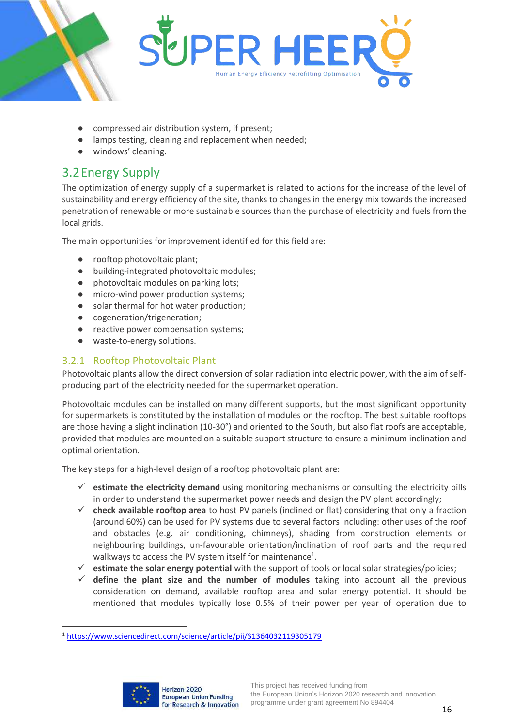

- compressed air distribution system, if present;
- lamps testing, cleaning and replacement when needed;
- windows' cleaning.

# <span id="page-15-0"></span>3.2Energy Supply

The optimization of energy supply of a supermarket is related to actions for the increase of the level of sustainability and energy efficiency of the site, thanks to changes in the energy mix towards the increased penetration of renewable or more sustainable sources than the purchase of electricity and fuels from the local grids.

The main opportunities for improvement identified for this field are:

- rooftop photovoltaic plant;
- building-integrated photovoltaic modules;
- photovoltaic modules on parking lots;
- micro-wind power production systems;
- solar thermal for hot water production;
- cogeneration/trigeneration;
- reactive power compensation systems;
- waste-to-energy solutions.

#### <span id="page-15-1"></span>3.2.1 Rooftop Photovoltaic Plant

Photovoltaic plants allow the direct conversion of solar radiation into electric power, with the aim of selfproducing part of the electricity needed for the supermarket operation.

Photovoltaic modules can be installed on many different supports, but the most significant opportunity for supermarkets is constituted by the installation of modules on the rooftop. The best suitable rooftops are those having a slight inclination (10-30°) and oriented to the South, but also flat roofs are acceptable, provided that modules are mounted on a suitable support structure to ensure a minimum inclination and optimal orientation.

The key steps for a high-level design of a rooftop photovoltaic plant are:

- ✓ **estimate the electricity demand** using monitoring mechanisms or consulting the electricity bills in order to understand the supermarket power needs and design the PV plant accordingly;
- ✓ **check available rooftop area** to host PV panels (inclined or flat) considering that only a fraction (around 60%) can be used for PV systems due to several factors including: other uses of the roof and obstacles (e.g. air conditioning, chimneys), shading from construction elements or neighbouring buildings, un-favourable orientation/inclination of roof parts and the required walkways to access the PV system itself for maintenance<sup>1</sup>.
- ✓ **estimate the solar energy potential** with the support of tools or local solar strategies/policies;
- ✓ **define the plant size and the number of modules** taking into account all the previous consideration on demand, available rooftop area and solar energy potential. It should be mentioned that modules typically lose 0.5% of their power per year of operation due to



<sup>1</sup> <https://www.sciencedirect.com/science/article/pii/S1364032119305179>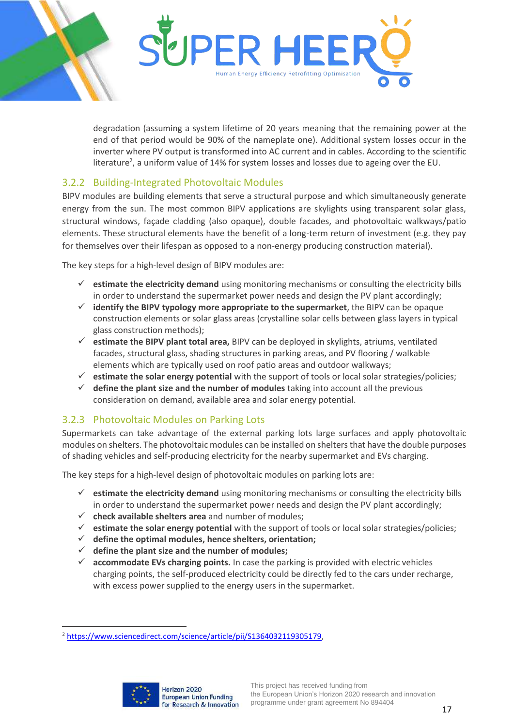

degradation (assuming a system lifetime of 20 years meaning that the remaining power at the end of that period would be 90% of the nameplate one). Additional system losses occur in the inverter where PV output is transformed into AC current and in cables. According to the scientific literature<sup>2</sup>, a uniform value of 14% for system losses and losses due to ageing over the EU.

#### <span id="page-16-0"></span>3.2.2 Building-Integrated Photovoltaic Modules

BIPV modules are building elements that serve a structural purpose and which simultaneously generate energy from the sun. The most common BIPV applications are skylights using transparent solar glass, structural windows, façade cladding (also opaque), double facades, and photovoltaic walkways/patio elements. These structural elements have the benefit of a long-term return of investment (e.g. they pay for themselves over their lifespan as opposed to a non-energy producing construction material).

The key steps for a high-level design of BIPV modules are:

- ✓ **estimate the electricity demand** using monitoring mechanisms or consulting the electricity bills in order to understand the supermarket power needs and design the PV plant accordingly;
- ✓ **identify the BIPV typology more appropriate to the supermarket**, the BIPV can be opaque construction elements or solar glass areas (crystalline solar cells between glass layers in typical glass construction methods);
- ✓ **estimate the BIPV plant total area,** BIPV can be deployed in skylights, atriums, ventilated facades, structural glass, shading structures in parking areas, and PV flooring / walkable elements which are typically used on roof patio areas and outdoor walkways;
- ✓ **estimate the solar energy potential** with the support of tools or local solar strategies/policies;
- ✓ **define the plant size and the number of modules** taking into account all the previous consideration on demand, available area and solar energy potential.

#### <span id="page-16-1"></span>3.2.3 Photovoltaic Modules on Parking Lots

Supermarkets can take advantage of the external parking lots large surfaces and apply photovoltaic modules on shelters. The photovoltaic modules can be installed on shelters that have the double purposes of shading vehicles and self-producing electricity for the nearby supermarket and EVs charging.

The key steps for a high-level design of photovoltaic modules on parking lots are:

- ✓ **estimate the electricity demand** using monitoring mechanisms or consulting the electricity bills in order to understand the supermarket power needs and design the PV plant accordingly;
- ✓ **check available shelters area** and number of modules;
- ✓ **estimate the solar energy potential** with the support of tools or local solar strategies/policies;
- ✓ **define the optimal modules, hence shelters, orientation;**
- ✓ **define the plant size and the number of modules;**
- $\checkmark$  **accommodate EVs charging points.** In case the parking is provided with electric vehicles charging points, the self-produced electricity could be directly fed to the cars under recharge, with excess power supplied to the energy users in the supermarket.



<sup>&</sup>lt;sup>2</sup> [https://www.sciencedirect.com/science/article/pii/S1364032119305179,](https://www.sciencedirect.com/science/article/pii/S1364032119305179)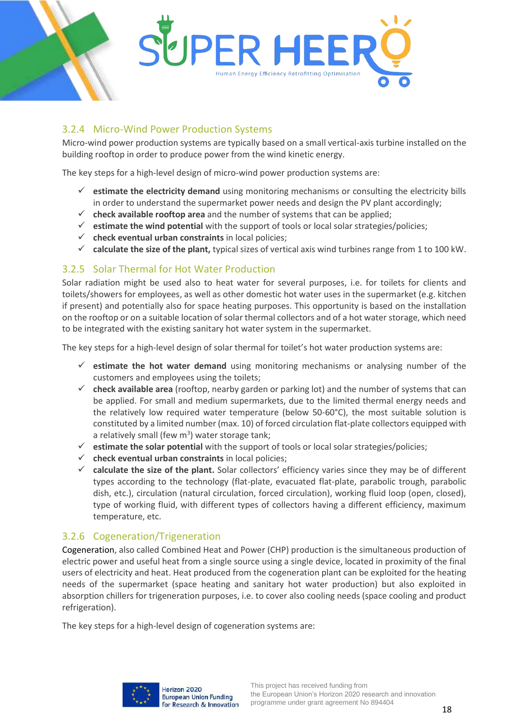

#### <span id="page-17-0"></span>3.2.4 Micro-Wind Power Production Systems

Micro-wind power production systems are typically based on a small vertical-axis turbine installed on the building rooftop in order to produce power from the wind kinetic energy.

The key steps for a high-level design of micro-wind power production systems are:

- ✓ **estimate the electricity demand** using monitoring mechanisms or consulting the electricity bills in order to understand the supermarket power needs and design the PV plant accordingly;
- ✓ **check available rooftop area** and the number of systems that can be applied;
- ✓ **estimate the wind potential** with the support of tools or local solar strategies/policies;
- ✓ **check eventual urban constraints** in local policies;
- ✓ **calculate the size of the plant,** typical sizes of vertical axis wind turbines range from 1 to 100 kW.

#### <span id="page-17-1"></span>3.2.5 Solar Thermal for Hot Water Production

Solar radiation might be used also to heat water for several purposes, i.e. for toilets for clients and toilets/showers for employees, as well as other domestic hot water uses in the supermarket (e.g. kitchen if present) and potentially also for space heating purposes. This opportunity is based on the installation on the rooftop or on a suitable location of solar thermal collectors and of a hot water storage, which need to be integrated with the existing sanitary hot water system in the supermarket.

The key steps for a high-level design of solar thermal for toilet's hot water production systems are:

- ✓ **estimate the hot water demand** using monitoring mechanisms or analysing number of the customers and employees using the toilets;
- ✓ **check available area** (rooftop, nearby garden or parking lot) and the number of systems that can be applied. For small and medium supermarkets, due to the limited thermal energy needs and the relatively low required water temperature (below 50-60°C), the most suitable solution is constituted by a limited number (max. 10) of forced circulation flat-plate collectors equipped with a relatively small (few  $m^3$ ) water storage tank;
- ✓ **estimate the solar potential** with the support of tools or local solar strategies/policies;
- ✓ **check eventual urban constraints** in local policies;
- ✓ **calculate the size of the plant.** Solar collectors' efficiency varies since they may be of different types according to the technology (flat-plate, evacuated flat-plate, parabolic trough, parabolic dish, etc.), circulation (natural circulation, forced circulation), working fluid loop (open, closed), type of working fluid, with different types of collectors having a different efficiency, maximum temperature, etc.

#### <span id="page-17-2"></span>3.2.6 Cogeneration/Trigeneration

Cogeneration, also called Combined Heat and Power (CHP) production is the simultaneous production of electric power and useful heat from a single source using a single device, located in proximity of the final users of electricity and heat. Heat produced from the cogeneration plant can be exploited for the heating needs of the supermarket (space heating and sanitary hot water production) but also exploited in absorption chillers for trigeneration purposes, i.e. to cover also cooling needs (space cooling and product refrigeration).

The key steps for a high-level design of cogeneration systems are:

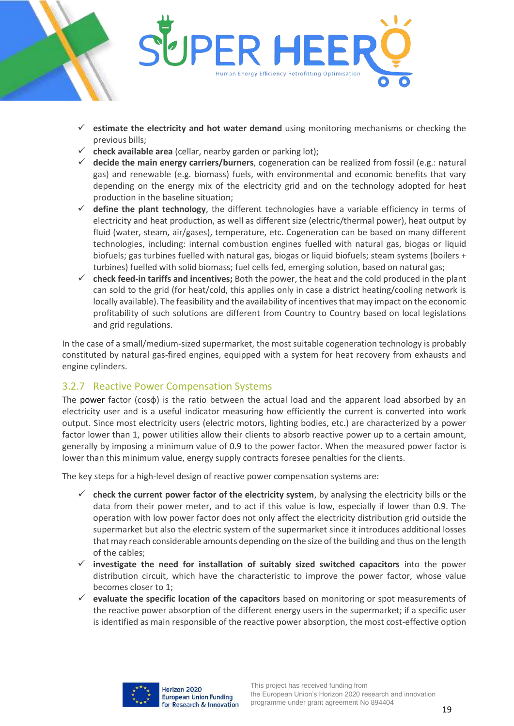

- ✓ **estimate the electricity and hot water demand** using monitoring mechanisms or checking the previous bills;
- $\checkmark$  check available area (cellar, nearby garden or parking lot);
- ✓ **decide the main energy carriers/burners**, cogeneration can be realized from fossil (e.g.: natural gas) and renewable (e.g. biomass) fuels, with environmental and economic benefits that vary depending on the energy mix of the electricity grid and on the technology adopted for heat production in the baseline situation;
- ✓ **define the plant technology**, the different technologies have a variable efficiency in terms of electricity and heat production, as well as different size (electric/thermal power), heat output by fluid (water, steam, air/gases), temperature, etc. Cogeneration can be based on many different technologies, including: internal combustion engines fuelled with natural gas, biogas or liquid biofuels; gas turbines fuelled with natural gas, biogas or liquid biofuels; steam systems (boilers + turbines) fuelled with solid biomass; fuel cells fed, emerging solution, based on natural gas;
- ✓ **check feed-in tariffs and incentives;** Both the power, the heat and the cold produced in the plant can sold to the grid (for heat/cold, this applies only in case a district heating/cooling network is locally available). The feasibility and the availability of incentives that may impact on the economic profitability of such solutions are different from Country to Country based on local legislations and grid regulations.

In the case of a small/medium-sized supermarket, the most suitable cogeneration technology is probably constituted by natural gas-fired engines, equipped with a system for heat recovery from exhausts and engine cylinders.

#### <span id="page-18-0"></span>3.2.7 Reactive Power Compensation Systems

The power factor (cosφ) is the ratio between the actual load and the apparent load absorbed by an electricity user and is a useful indicator measuring how efficiently the current is converted into work output. Since most electricity users (electric motors, lighting bodies, etc.) are characterized by a power factor lower than 1, power utilities allow their clients to absorb reactive power up to a certain amount, generally by imposing a minimum value of 0.9 to the power factor. When the measured power factor is lower than this minimum value, energy supply contracts foresee penalties for the clients.

The key steps for a high-level design of reactive power compensation systems are:

- ✓ **check the current power factor of the electricity system**, by analysing the electricity bills or the data from their power meter, and to act if this value is low, especially if lower than 0.9. The operation with low power factor does not only affect the electricity distribution grid outside the supermarket but also the electric system of the supermarket since it introduces additional losses that may reach considerable amounts depending on the size of the building and thus on the length of the cables;
- ✓ **investigate the need for installation of suitably sized switched capacitors** into the power distribution circuit, which have the characteristic to improve the power factor, whose value becomes closer to 1;
- ✓ **evaluate the specific location of the capacitors** based on monitoring or spot measurements of the reactive power absorption of the different energy users in the supermarket; if a specific user is identified as main responsible of the reactive power absorption, the most cost-effective option

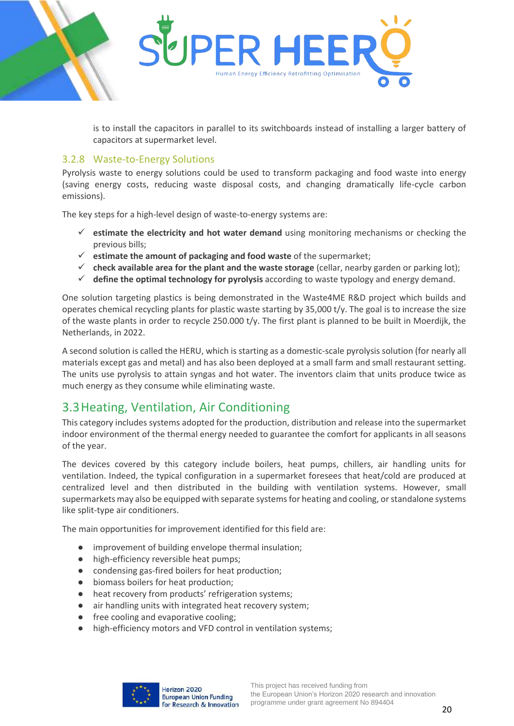

is to install the capacitors in parallel to its switchboards instead of installing a larger battery of capacitors at supermarket level.

#### <span id="page-19-0"></span>3.2.8 Waste-to-Energy Solutions

Pyrolysis waste to energy solutions could be used to transform packaging and food waste into energy (saving energy costs, reducing waste disposal costs, and changing dramatically life-cycle carbon emissions).

The key steps for a high-level design of waste-to-energy systems are:

- ✓ **estimate the electricity and hot water demand** using monitoring mechanisms or checking the previous bills;
- ✓ **estimate the amount of packaging and food waste** of the supermarket;
- ✓ **check available area for the plant and the waste storage** (cellar, nearby garden or parking lot);
- ✓ **define the optimal technology for pyrolysis** according to waste typology and energy demand.

One solution targeting plastics is being demonstrated in the Waste4ME R&D project which builds and operates chemical recycling plants for plastic waste starting by 35,000 t/y. The goal is to increase the size of the waste plants in order to recycle 250.000 t/y. The first plant is planned to be built in Moerdijk, the Netherlands, in 2022.

A second solution is called the HERU, which is starting as a domestic-scale pyrolysis solution (for nearly all materials except gas and metal) and has also been deployed at a small farm and small restaurant setting. The units use pyrolysis to attain syngas and hot water. The inventors claim that units produce twice as much energy as they consume while eliminating waste.

# <span id="page-19-1"></span>3.3Heating, Ventilation, Air Conditioning

This category includes systems adopted for the production, distribution and release into the supermarket indoor environment of the thermal energy needed to guarantee the comfort for applicants in all seasons of the year.

The devices covered by this category include boilers, heat pumps, chillers, air handling units for ventilation. Indeed, the typical configuration in a supermarket foresees that heat/cold are produced at centralized level and then distributed in the building with ventilation systems. However, small supermarkets may also be equipped with separate systems for heating and cooling, or standalone systems like split-type air conditioners.

The main opportunities for improvement identified for this field are:

- improvement of building envelope thermal insulation;
- high-efficiency reversible heat pumps;
- condensing gas-fired boilers for heat production;
- biomass boilers for heat production:
- heat recovery from products' refrigeration systems;
- air handling units with integrated heat recovery system;
- free cooling and evaporative cooling;
- high-efficiency motors and VFD control in ventilation systems;

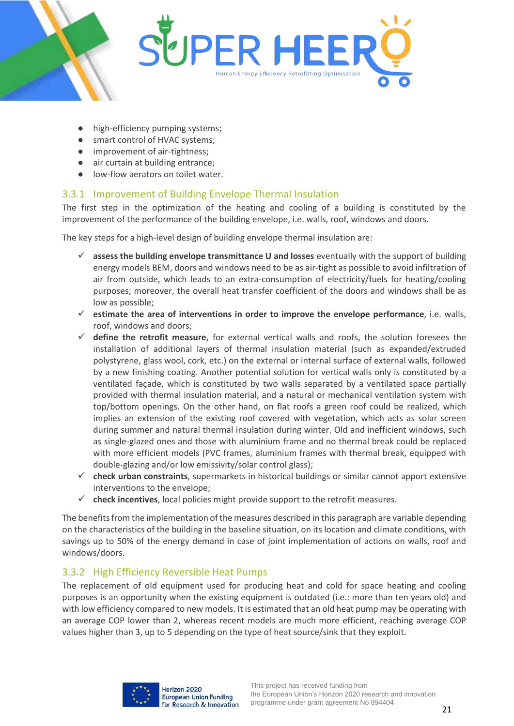

- high-efficiency pumping systems;
- smart control of HVAC systems;
- improvement of air-tightness;
- air curtain at building entrance;
- low-flow aerators on toilet water.

#### <span id="page-20-0"></span>3.3.1 Improvement of Building Envelope Thermal Insulation

The first step in the optimization of the heating and cooling of a building is constituted by the improvement of the performance of the building envelope, i.e. walls, roof, windows and doors.

The key steps for a high-level design of building envelope thermal insulation are:

- ✓ **assess the building envelope transmittance U and losses** eventually with the support of building energy models BEM, doors and windows need to be as air-tight as possible to avoid infiltration of air from outside, which leads to an extra-consumption of electricity/fuels for heating/cooling purposes; moreover, the overall heat transfer coefficient of the doors and windows shall be as low as possible;
- ✓ **estimate the area of interventions in order to improve the envelope performance**, i.e. walls, roof, windows and doors;
- ✓ **define the retrofit measure**, for external vertical walls and roofs, the solution foresees the installation of additional layers of thermal insulation material (such as expanded/extruded polystyrene, glass wool, cork, etc.) on the external or internal surface of external walls, followed by a new finishing coating. Another potential solution for vertical walls only is constituted by a ventilated façade, which is constituted by two walls separated by a ventilated space partially provided with thermal insulation material, and a natural or mechanical ventilation system with top/bottom openings. On the other hand, on flat roofs a green roof could be realized, which implies an extension of the existing roof covered with vegetation, which acts as solar screen during summer and natural thermal insulation during winter. Old and inefficient windows, such as single-glazed ones and those with aluminium frame and no thermal break could be replaced with more efficient models (PVC frames, aluminium frames with thermal break, equipped with double-glazing and/or low emissivity/solar control glass);
- ✓ **check urban constraints**, supermarkets in historical buildings or similar cannot apport extensive interventions to the envelope;
- $\checkmark$  check incentives, local policies might provide support to the retrofit measures.

The benefits from the implementation of the measures described in this paragraph are variable depending on the characteristics of the building in the baseline situation, on its location and climate conditions, with savings up to 50% of the energy demand in case of joint implementation of actions on walls, roof and windows/doors.

#### <span id="page-20-1"></span>3.3.2 High Efficiency Reversible Heat Pumps

The replacement of old equipment used for producing heat and cold for space heating and cooling purposes is an opportunity when the existing equipment is outdated (i.e.: more than ten years old) and with low efficiency compared to new models. It is estimated that an old heat pump may be operating with an average COP lower than 2, whereas recent models are much more efficient, reaching average COP values higher than 3, up to 5 depending on the type of heat source/sink that they exploit.

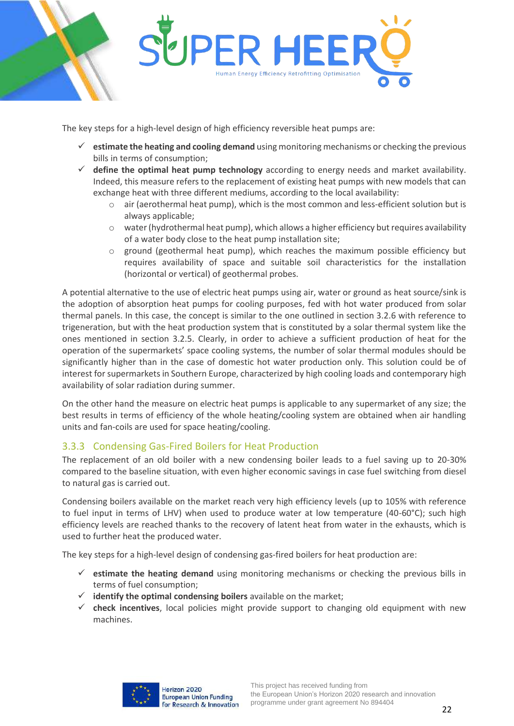

The key steps for a high-level design of high efficiency reversible heat pumps are:

- ✓ **estimate the heating and cooling demand** using monitoring mechanisms or checking the previous bills in terms of consumption;
- ✓ **define the optimal heat pump technology** according to energy needs and market availability. Indeed, this measure refers to the replacement of existing heat pumps with new models that can exchange heat with three different mediums, according to the local availability:
	- $\circ$  air (aerothermal heat pump), which is the most common and less-efficient solution but is always applicable;
	- o water (hydrothermal heat pump), which allows a higher efficiency but requires availability of a water body close to the heat pump installation site;
	- $\circ$  ground (geothermal heat pump), which reaches the maximum possible efficiency but requires availability of space and suitable soil characteristics for the installation (horizontal or vertical) of geothermal probes.

A potential alternative to the use of electric heat pumps using air, water or ground as heat source/sink is the adoption of absorption heat pumps for cooling purposes, fed with hot water produced from solar thermal panels. In this case, the concept is similar to the one outlined in section 3.2.6 with reference to trigeneration, but with the heat production system that is constituted by a solar thermal system like the ones mentioned in section 3.2.5. Clearly, in order to achieve a sufficient production of heat for the operation of the supermarkets' space cooling systems, the number of solar thermal modules should be significantly higher than in the case of domestic hot water production only. This solution could be of interest for supermarkets in Southern Europe, characterized by high cooling loads and contemporary high availability of solar radiation during summer.

On the other hand the measure on electric heat pumps is applicable to any supermarket of any size; the best results in terms of efficiency of the whole heating/cooling system are obtained when air handling units and fan-coils are used for space heating/cooling.

#### <span id="page-21-0"></span>3.3.3 Condensing Gas-Fired Boilers for Heat Production

The replacement of an old boiler with a new condensing boiler leads to a fuel saving up to 20-30% compared to the baseline situation, with even higher economic savings in case fuel switching from diesel to natural gas is carried out.

Condensing boilers available on the market reach very high efficiency levels (up to 105% with reference to fuel input in terms of LHV) when used to produce water at low temperature (40-60°C); such high efficiency levels are reached thanks to the recovery of latent heat from water in the exhausts, which is used to further heat the produced water.

The key steps for a high-level design of condensing gas-fired boilers for heat production are:

- ✓ **estimate the heating demand** using monitoring mechanisms or checking the previous bills in terms of fuel consumption;
- ✓ **identify the optimal condensing boilers** available on the market;
- $\checkmark$  check incentives, local policies might provide support to changing old equipment with new machines.

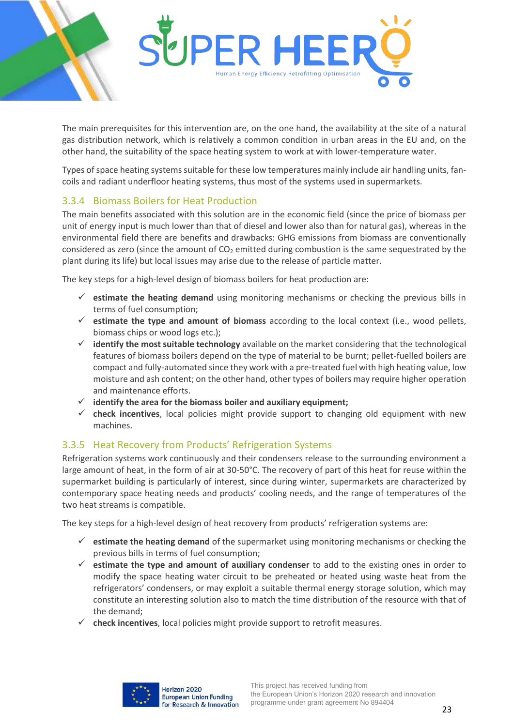

The main prerequisites for this intervention are, on the one hand, the availability at the site of a natural gas distribution network, which is relatively a common condition in urban areas in the EU and, on the other hand, the suitability of the space heating system to work at with lower-temperature water.

Types of space heating systems suitable for these low temperatures mainly include air handling units, fancoils and radiant underfloor heating systems, thus most of the systems used in supermarkets.

#### <span id="page-22-0"></span>3.3.4 Biomass Boilers for Heat Production

The main benefits associated with this solution are in the economic field (since the price of biomass per unit of energy input is much lower than that of diesel and lower also than for natural gas), whereas in the environmental field there are benefits and drawbacks: GHG emissions from biomass are conventionally considered as zero (since the amount of  $CO<sub>2</sub>$  emitted during combustion is the same sequestrated by the plant during its life) but local issues may arise due to the release of particle matter.

The key steps for a high-level design of biomass boilers for heat production are:

- ✓ **estimate the heating demand** using monitoring mechanisms or checking the previous bills in terms of fuel consumption;
- ✓ **estimate the type and amount of biomass** according to the local context (i.e., wood pellets, biomass chips or wood logs etc.);
- ✓ **identify the most suitable technology** available on the market considering that the technological features of biomass boilers depend on the type of material to be burnt; pellet-fuelled boilers are compact and fully-automated since they work with a pre-treated fuel with high heating value, low moisture and ash content; on the other hand, other types of boilers may require higher operation and maintenance efforts.
- ✓ **identify the area for the biomass boiler and auxiliary equipment;**
- ✓ **check incentives**, local policies might provide support to changing old equipment with new machines.

#### <span id="page-22-1"></span>3.3.5 Heat Recovery from Products' Refrigeration Systems

Refrigeration systems work continuously and their condensers release to the surrounding environment a large amount of heat, in the form of air at 30-50°C. The recovery of part of this heat for reuse within the supermarket building is particularly of interest, since during winter, supermarkets are characterized by contemporary space heating needs and products' cooling needs, and the range of temperatures of the two heat streams is compatible.

The key steps for a high-level design of heat recovery from products' refrigeration systems are:

- ✓ **estimate the heating demand** of the supermarket using monitoring mechanisms or checking the previous bills in terms of fuel consumption;
- ✓ **estimate the type and amount of auxiliary condenser** to add to the existing ones in order to modify the space heating water circuit to be preheated or heated using waste heat from the refrigerators' condensers, or may exploit a suitable thermal energy storage solution, which may constitute an interesting solution also to match the time distribution of the resource with that of the demand;
- ✓ **check incentives**, local policies might provide support to retrofit measures.

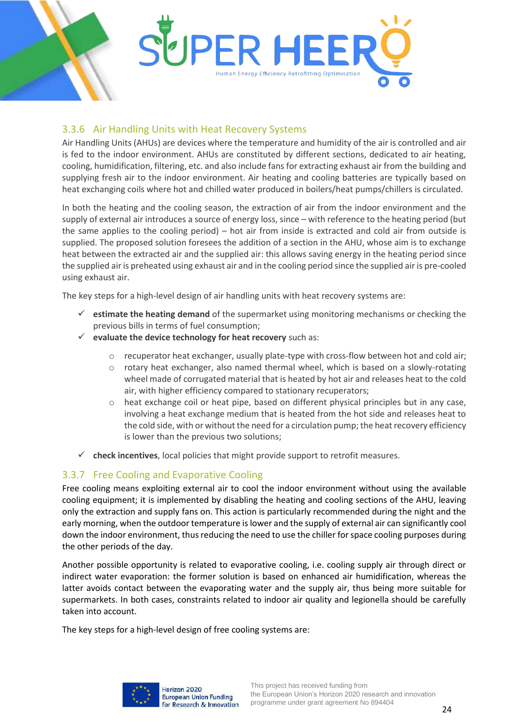

#### <span id="page-23-0"></span>3.3.6 Air Handling Units with Heat Recovery Systems

Air Handling Units (AHUs) are devices where the temperature and humidity of the air is controlled and air is fed to the indoor environment. AHUs are constituted by different sections, dedicated to air heating, cooling, humidification, filtering, etc. and also include fans for extracting exhaust air from the building and supplying fresh air to the indoor environment. Air heating and cooling batteries are typically based on heat exchanging coils where hot and chilled water produced in boilers/heat pumps/chillers is circulated.

In both the heating and the cooling season, the extraction of air from the indoor environment and the supply of external air introduces a source of energy loss, since – with reference to the heating period (but the same applies to the cooling period) – hot air from inside is extracted and cold air from outside is supplied. The proposed solution foresees the addition of a section in the AHU, whose aim is to exchange heat between the extracted air and the supplied air: this allows saving energy in the heating period since the supplied air is preheated using exhaust air and in the cooling period since the supplied air is pre-cooled using exhaust air.

The key steps for a high-level design of air handling units with heat recovery systems are:

- ✓ **estimate the heating demand** of the supermarket using monitoring mechanisms or checking the previous bills in terms of fuel consumption;
- **evaluate the device technology for heat recovery** such as:
	- o recuperator heat exchanger, usually plate-type with cross-flow between hot and cold air;
	- $\circ$  rotary heat exchanger, also named thermal wheel, which is based on a slowly-rotating wheel made of corrugated material that is heated by hot air and releases heat to the cold air, with higher efficiency compared to stationary recuperators;
	- o heat exchange coil or heat pipe, based on different physical principles but in any case, involving a heat exchange medium that is heated from the hot side and releases heat to the cold side, with or without the need for a circulation pump; the heat recovery efficiency is lower than the previous two solutions;
- ✓ **check incentives**, local policies that might provide support to retrofit measures.

#### <span id="page-23-1"></span>3.3.7 Free Cooling and Evaporative Cooling

Free cooling means exploiting external air to cool the indoor environment without using the available cooling equipment; it is implemented by disabling the heating and cooling sections of the AHU, leaving only the extraction and supply fans on. This action is particularly recommended during the night and the early morning, when the outdoor temperature is lower and the supply of external air can significantly cool down the indoor environment, thus reducing the need to use the chiller for space cooling purposes during the other periods of the day.

Another possible opportunity is related to evaporative cooling, i.e. cooling supply air through direct or indirect water evaporation: the former solution is based on enhanced air humidification, whereas the latter avoids contact between the evaporating water and the supply air, thus being more suitable for supermarkets. In both cases, constraints related to indoor air quality and legionella should be carefully taken into account.

The key steps for a high-level design of free cooling systems are:

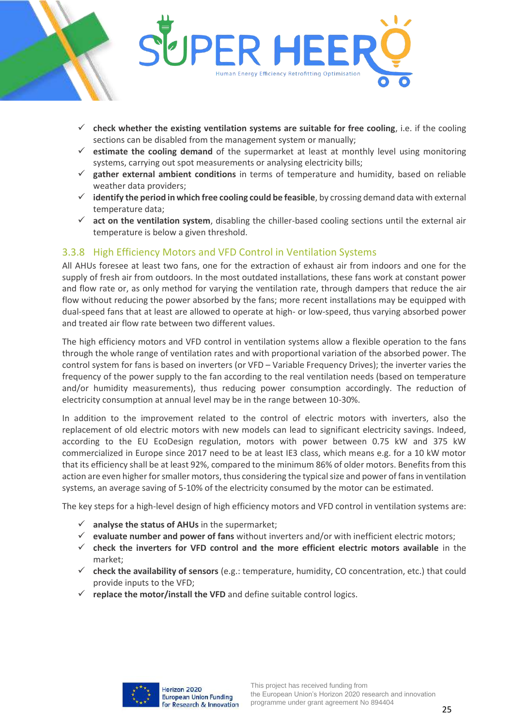

- ✓ **check whether the existing ventilation systems are suitable for free cooling**, i.e. if the cooling sections can be disabled from the management system or manually;
- ✓ **estimate the cooling demand** of the supermarket at least at monthly level using monitoring systems, carrying out spot measurements or analysing electricity bills;
- gather external ambient conditions in terms of temperature and humidity, based on reliable weather data providers;
- ✓ **identify the period in which free cooling could be feasible**, by crossing demand data with external temperature data;
- act on the ventilation system, disabling the chiller-based cooling sections until the external air temperature is below a given threshold.

#### <span id="page-24-0"></span>3.3.8 High Efficiency Motors and VFD Control in Ventilation Systems

All AHUs foresee at least two fans, one for the extraction of exhaust air from indoors and one for the supply of fresh air from outdoors. In the most outdated installations, these fans work at constant power and flow rate or, as only method for varying the ventilation rate, through dampers that reduce the air flow without reducing the power absorbed by the fans; more recent installations may be equipped with dual-speed fans that at least are allowed to operate at high- or low-speed, thus varying absorbed power and treated air flow rate between two different values.

The high efficiency motors and VFD control in ventilation systems allow a flexible operation to the fans through the whole range of ventilation rates and with proportional variation of the absorbed power. The control system for fans is based on inverters (or VFD – Variable Frequency Drives); the inverter varies the frequency of the power supply to the fan according to the real ventilation needs (based on temperature and/or humidity measurements), thus reducing power consumption accordingly. The reduction of electricity consumption at annual level may be in the range between 10-30%.

In addition to the improvement related to the control of electric motors with inverters, also the replacement of old electric motors with new models can lead to significant electricity savings. Indeed, according to the EU EcoDesign regulation, motors with power between 0.75 kW and 375 kW commercialized in Europe since 2017 need to be at least IE3 class, which means e.g. for a 10 kW motor that its efficiency shall be at least 92%, compared to the minimum 86% of older motors. Benefits from this action are even higher for smaller motors, thus considering the typical size and power of fans in ventilation systems, an average saving of 5-10% of the electricity consumed by the motor can be estimated.

The key steps for a high-level design of high efficiency motors and VFD control in ventilation systems are:

- $\checkmark$  analyse the status of AHUs in the supermarket;
- ✓ **evaluate number and power of fans** without inverters and/or with inefficient electric motors;
- ✓ **check the inverters for VFD control and the more efficient electric motors available** in the market;
- ✓ **check the availability of sensors** (e.g.: temperature, humidity, CO concentration, etc.) that could provide inputs to the VFD;
- ✓ **replace the motor/install the VFD** and define suitable control logics.

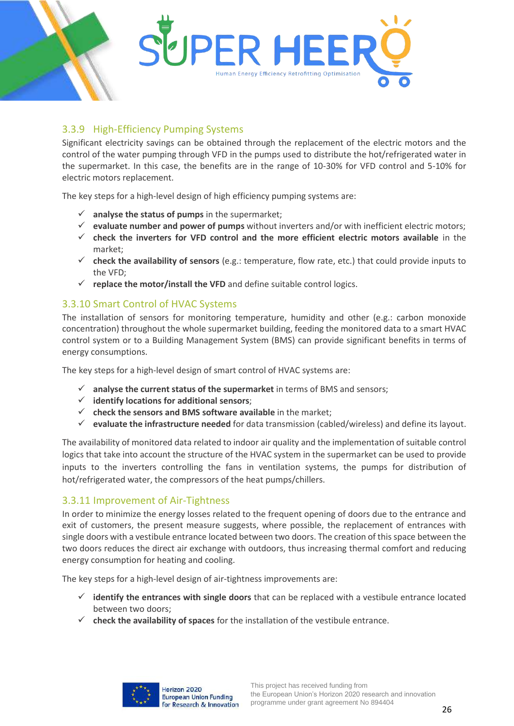

### <span id="page-25-0"></span>3.3.9 High-Efficiency Pumping Systems

Significant electricity savings can be obtained through the replacement of the electric motors and the control of the water pumping through VFD in the pumps used to distribute the hot/refrigerated water in the supermarket. In this case, the benefits are in the range of 10-30% for VFD control and 5-10% for electric motors replacement.

The key steps for a high-level design of high efficiency pumping systems are:

- $\checkmark$  analyse the status of pumps in the supermarket;
- ✓ **evaluate number and power of pumps** without inverters and/or with inefficient electric motors;
- ✓ **check the inverters for VFD control and the more efficient electric motors available** in the market;
- ✓ **check the availability of sensors** (e.g.: temperature, flow rate, etc.) that could provide inputs to the VFD;
- ✓ **replace the motor/install the VFD** and define suitable control logics.

#### <span id="page-25-1"></span>3.3.10 Smart Control of HVAC Systems

The installation of sensors for monitoring temperature, humidity and other (e.g.: carbon monoxide concentration) throughout the whole supermarket building, feeding the monitored data to a smart HVAC control system or to a Building Management System (BMS) can provide significant benefits in terms of energy consumptions.

The key steps for a high-level design of smart control of HVAC systems are:

- ✓ **analyse the current status of the supermarket** in terms of BMS and sensors;
- ✓ **identify locations for additional sensors**;
- ✓ **check the sensors and BMS software available** in the market;
- ✓ **evaluate the infrastructure needed** for data transmission (cabled/wireless) and define its layout.

The availability of monitored data related to indoor air quality and the implementation of suitable control logics that take into account the structure of the HVAC system in the supermarket can be used to provide inputs to the inverters controlling the fans in ventilation systems, the pumps for distribution of hot/refrigerated water, the compressors of the heat pumps/chillers.

#### <span id="page-25-2"></span>3.3.11 Improvement of Air-Tightness

In order to minimize the energy losses related to the frequent opening of doors due to the entrance and exit of customers, the present measure suggests, where possible, the replacement of entrances with single doors with a vestibule entrance located between two doors. The creation of this space between the two doors reduces the direct air exchange with outdoors, thus increasing thermal comfort and reducing energy consumption for heating and cooling.

The key steps for a high-level design of air-tightness improvements are:

- ✓ **identify the entrances with single doors** that can be replaced with a vestibule entrance located between two doors;
- ✓ **check the availability of spaces** for the installation of the vestibule entrance.

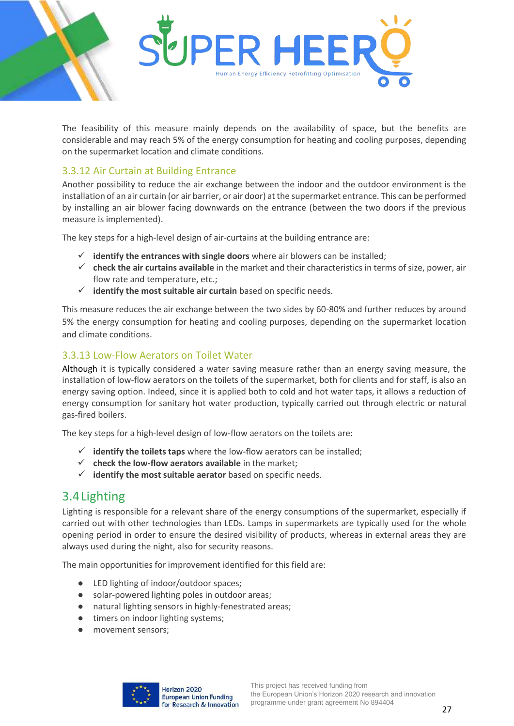

The feasibility of this measure mainly depends on the availability of space, but the benefits are considerable and may reach 5% of the energy consumption for heating and cooling purposes, depending on the supermarket location and climate conditions.

#### <span id="page-26-0"></span>3.3.12 Air Curtain at Building Entrance

Another possibility to reduce the air exchange between the indoor and the outdoor environment is the installation of an air curtain (or air barrier, or air door) at the supermarket entrance. This can be performed by installing an air blower facing downwards on the entrance (between the two doors if the previous measure is implemented).

The key steps for a high-level design of air-curtains at the building entrance are:

- ✓ **identify the entrances with single doors** where air blowers can be installed;
- ✓ **check the air curtains available** in the market and their characteristics in terms of size, power, air flow rate and temperature, etc.;
- ✓ **identify the most suitable air curtain** based on specific needs.

This measure reduces the air exchange between the two sides by 60-80% and further reduces by around 5% the energy consumption for heating and cooling purposes, depending on the supermarket location and climate conditions.

#### <span id="page-26-1"></span>3.3.13 Low-Flow Aerators on Toilet Water

Although it is typically considered a water saving measure rather than an energy saving measure, the installation of low-flow aerators on the toilets of the supermarket, both for clients and for staff, is also an energy saving option. Indeed, since it is applied both to cold and hot water taps, it allows a reduction of energy consumption for sanitary hot water production, typically carried out through electric or natural gas-fired boilers.

The key steps for a high-level design of low-flow aerators on the toilets are:

- $\checkmark$  **identify the toilets taps** where the low-flow aerators can be installed;
- ✓ **check the low-flow aerators available** in the market;
- ✓ **identify the most suitable aerator** based on specific needs.

### <span id="page-26-2"></span>3.4Lighting

Lighting is responsible for a relevant share of the energy consumptions of the supermarket, especially if carried out with other technologies than LEDs. Lamps in supermarkets are typically used for the whole opening period in order to ensure the desired visibility of products, whereas in external areas they are always used during the night, also for security reasons.

The main opportunities for improvement identified for this field are:

- LED lighting of indoor/outdoor spaces;
- solar-powered lighting poles in outdoor areas;
- natural lighting sensors in highly-fenestrated areas;
- timers on indoor lighting systems;
- movement sensors;

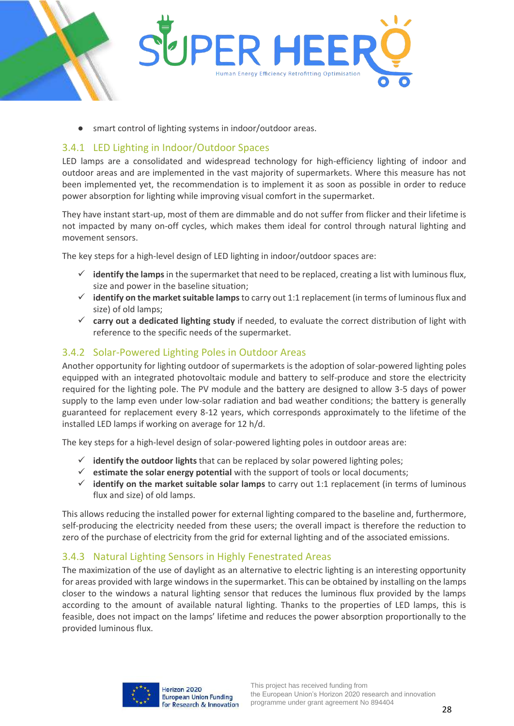

smart control of lighting systems in indoor/outdoor areas.

#### <span id="page-27-0"></span>3.4.1 LED Lighting in Indoor/Outdoor Spaces

LED lamps are a consolidated and widespread technology for high-efficiency lighting of indoor and outdoor areas and are implemented in the vast majority of supermarkets. Where this measure has not been implemented yet, the recommendation is to implement it as soon as possible in order to reduce power absorption for lighting while improving visual comfort in the supermarket.

They have instant start-up, most of them are dimmable and do not suffer from flicker and their lifetime is not impacted by many on-off cycles, which makes them ideal for control through natural lighting and movement sensors.

The key steps for a high-level design of LED lighting in indoor/outdoor spaces are:

- ✓ **identify the lamps** in the supermarket that need to be replaced, creating a list with luminous flux, size and power in the baseline situation;
- ✓ **identify on the market suitable lamps**to carry out 1:1 replacement (in terms of luminous flux and size) of old lamps;
- ✓ **carry out a dedicated lighting study** if needed, to evaluate the correct distribution of light with reference to the specific needs of the supermarket.

#### <span id="page-27-1"></span>3.4.2 Solar-Powered Lighting Poles in Outdoor Areas

Another opportunity for lighting outdoor of supermarkets is the adoption of solar-powered lighting poles equipped with an integrated photovoltaic module and battery to self-produce and store the electricity required for the lighting pole. The PV module and the battery are designed to allow 3-5 days of power supply to the lamp even under low-solar radiation and bad weather conditions; the battery is generally guaranteed for replacement every 8-12 years, which corresponds approximately to the lifetime of the installed LED lamps if working on average for 12 h/d.

The key steps for a high-level design of solar-powered lighting poles in outdoor areas are:

- $\checkmark$  **identify the outdoor lights** that can be replaced by solar powered lighting poles;
- $\checkmark$  estimate the solar energy potential with the support of tools or local documents;
- ✓ **identify on the market suitable solar lamps** to carry out 1:1 replacement (in terms of luminous flux and size) of old lamps.

This allows reducing the installed power for external lighting compared to the baseline and, furthermore, self-producing the electricity needed from these users; the overall impact is therefore the reduction to zero of the purchase of electricity from the grid for external lighting and of the associated emissions.

#### <span id="page-27-2"></span>3.4.3 Natural Lighting Sensors in Highly Fenestrated Areas

The maximization of the use of daylight as an alternative to electric lighting is an interesting opportunity for areas provided with large windows in the supermarket. This can be obtained by installing on the lamps closer to the windows a natural lighting sensor that reduces the luminous flux provided by the lamps according to the amount of available natural lighting. Thanks to the properties of LED lamps, this is feasible, does not impact on the lamps' lifetime and reduces the power absorption proportionally to the provided luminous flux.

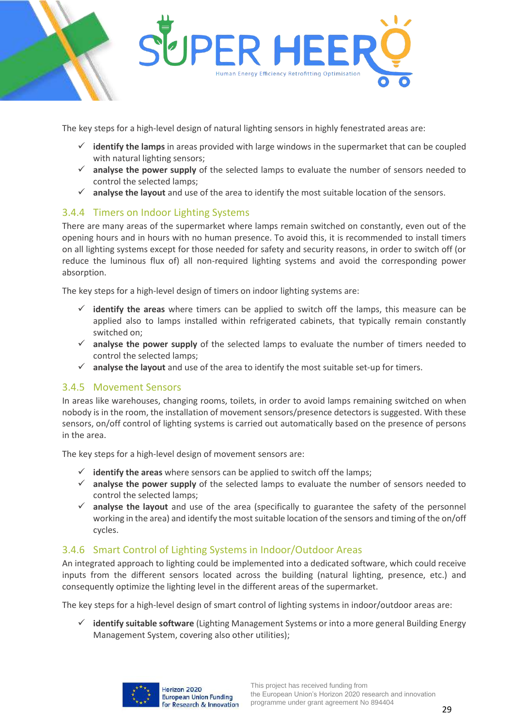

The key steps for a high-level design of natural lighting sensors in highly fenestrated areas are:

- ✓ **identify the lamps** in areas provided with large windows in the supermarket that can be coupled with natural lighting sensors:
- ✓ **analyse the power supply** of the selected lamps to evaluate the number of sensors needed to control the selected lamps;
- ✓ **analyse the layout** and use of the area to identify the most suitable location of the sensors.

#### <span id="page-28-0"></span>3.4.4 Timers on Indoor Lighting Systems

There are many areas of the supermarket where lamps remain switched on constantly, even out of the opening hours and in hours with no human presence. To avoid this, it is recommended to install timers on all lighting systems except for those needed for safety and security reasons, in order to switch off (or reduce the luminous flux of) all non-required lighting systems and avoid the corresponding power absorption.

The key steps for a high-level design of timers on indoor lighting systems are:

- ✓ **identify the areas** where timers can be applied to switch off the lamps, this measure can be applied also to lamps installed within refrigerated cabinets, that typically remain constantly switched on;
- ✓ **analyse the power supply** of the selected lamps to evaluate the number of timers needed to control the selected lamps;
- ✓ **analyse the layout** and use of the area to identify the most suitable set-up for timers.

#### <span id="page-28-1"></span>3.4.5 Movement Sensors

In areas like warehouses, changing rooms, toilets, in order to avoid lamps remaining switched on when nobody is in the room, the installation of movement sensors/presence detectors is suggested. With these sensors, on/off control of lighting systems is carried out automatically based on the presence of persons in the area.

The key steps for a high-level design of movement sensors are:

- ✓ **identify the areas** where sensors can be applied to switch off the lamps;
- ✓ **analyse the power supply** of the selected lamps to evaluate the number of sensors needed to control the selected lamps;
- ✓ **analyse the layout** and use of the area (specifically to guarantee the safety of the personnel working in the area) and identify the most suitable location of the sensors and timing of the on/off cycles.

#### <span id="page-28-2"></span>3.4.6 Smart Control of Lighting Systems in Indoor/Outdoor Areas

An integrated approach to lighting could be implemented into a dedicated software, which could receive inputs from the different sensors located across the building (natural lighting, presence, etc.) and consequently optimize the lighting level in the different areas of the supermarket.

The key steps for a high-level design of smart control of lighting systems in indoor/outdoor areas are:

✓ **identify suitable software** (Lighting Management Systems or into a more general Building Energy Management System, covering also other utilities);

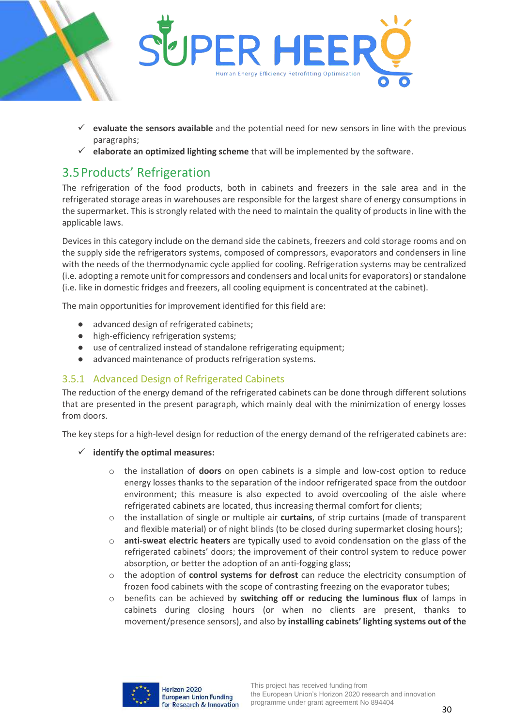

- ✓ **evaluate the sensors available** and the potential need for new sensors in line with the previous paragraphs;
- ✓ **elaborate an optimized lighting scheme** that will be implemented by the software.

# <span id="page-29-0"></span>3.5Products' Refrigeration

The refrigeration of the food products, both in cabinets and freezers in the sale area and in the refrigerated storage areas in warehouses are responsible for the largest share of energy consumptions in the supermarket. This is strongly related with the need to maintain the quality of products in line with the applicable laws.

Devices in this category include on the demand side the cabinets, freezers and cold storage rooms and on the supply side the refrigerators systems, composed of compressors, evaporators and condensers in line with the needs of the thermodynamic cycle applied for cooling. Refrigeration systems may be centralized (i.e. adopting a remote unit for compressors and condensers and local units for evaporators) or standalone (i.e. like in domestic fridges and freezers, all cooling equipment is concentrated at the cabinet).

The main opportunities for improvement identified for this field are:

- advanced design of refrigerated cabinets;
- high-efficiency refrigeration systems;
- use of centralized instead of standalone refrigerating equipment;
- advanced maintenance of products refrigeration systems.

#### <span id="page-29-1"></span>3.5.1 Advanced Design of Refrigerated Cabinets

The reduction of the energy demand of the refrigerated cabinets can be done through different solutions that are presented in the present paragraph, which mainly deal with the minimization of energy losses from doors.

The key steps for a high-level design for reduction of the energy demand of the refrigerated cabinets are:

- ✓ **identify the optimal measures:**
	- o the installation of **doors** on open cabinets is a simple and low-cost option to reduce energy losses thanks to the separation of the indoor refrigerated space from the outdoor environment; this measure is also expected to avoid overcooling of the aisle where refrigerated cabinets are located, thus increasing thermal comfort for clients;
	- o the installation of single or multiple air **curtains**, of strip curtains (made of transparent and flexible material) or of night blinds (to be closed during supermarket closing hours);
	- o **anti-sweat electric heaters** are typically used to avoid condensation on the glass of the refrigerated cabinets' doors; the improvement of their control system to reduce power absorption, or better the adoption of an anti-fogging glass;
	- o the adoption of **control systems for defrost** can reduce the electricity consumption of frozen food cabinets with the scope of contrasting freezing on the evaporator tubes;
	- o benefits can be achieved by **switching off or reducing the luminous flux** of lamps in cabinets during closing hours (or when no clients are present, thanks to movement/presence sensors), and also by **installing cabinets' lighting systems out of the**

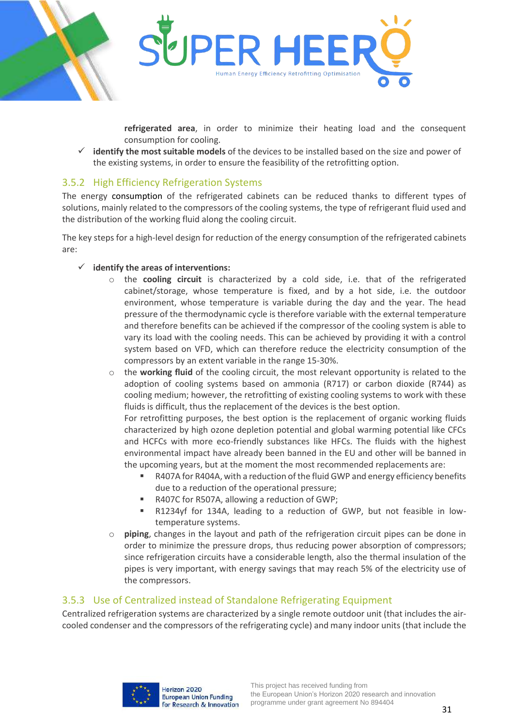

**refrigerated area**, in order to minimize their heating load and the consequent consumption for cooling.

✓ **identify the most suitable models** of the devices to be installed based on the size and power of the existing systems, in order to ensure the feasibility of the retrofitting option.

#### <span id="page-30-0"></span>3.5.2 High Efficiency Refrigeration Systems

The energy consumption of the refrigerated cabinets can be reduced thanks to different types of solutions, mainly related to the compressors of the cooling systems, the type of refrigerant fluid used and the distribution of the working fluid along the cooling circuit.

The key steps for a high-level design for reduction of the energy consumption of the refrigerated cabinets are:

- ✓ **identify the areas of interventions:**
	- the **cooling circuit** is characterized by a cold side, i.e. that of the refrigerated cabinet/storage, whose temperature is fixed, and by a hot side, i.e. the outdoor environment, whose temperature is variable during the day and the year. The head pressure of the thermodynamic cycle is therefore variable with the external temperature and therefore benefits can be achieved if the compressor of the cooling system is able to vary its load with the cooling needs. This can be achieved by providing it with a control system based on VFD, which can therefore reduce the electricity consumption of the compressors by an extent variable in the range 15-30%.
	- the **working fluid** of the cooling circuit, the most relevant opportunity is related to the adoption of cooling systems based on ammonia (R717) or carbon dioxide (R744) as cooling medium; however, the retrofitting of existing cooling systems to work with these fluids is difficult, thus the replacement of the devices is the best option.

For retrofitting purposes, the best option is the replacement of organic working fluids characterized by high ozone depletion potential and global warming potential like CFCs and HCFCs with more eco-friendly substances like HFCs. The fluids with the highest environmental impact have already been banned in the EU and other will be banned in the upcoming years, but at the moment the most recommended replacements are:

- R407A for R404A, with a reduction of the fluid GWP and energy efficiency benefits due to a reduction of the operational pressure;
- R407C for R507A, allowing a reduction of GWP;
- R1234yf for 134A, leading to a reduction of GWP, but not feasible in lowtemperature systems.
- piping, changes in the layout and path of the refrigeration circuit pipes can be done in order to minimize the pressure drops, thus reducing power absorption of compressors; since refrigeration circuits have a considerable length, also the thermal insulation of the pipes is very important, with energy savings that may reach 5% of the electricity use of the compressors.

#### <span id="page-30-1"></span>3.5.3 Use of Centralized instead of Standalone Refrigerating Equipment

Centralized refrigeration systems are characterized by a single remote outdoor unit (that includes the aircooled condenser and the compressors of the refrigerating cycle) and many indoor units (that include the

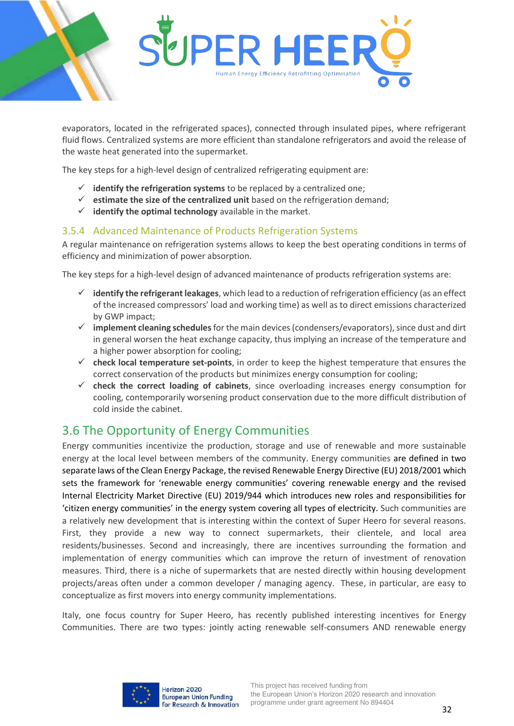

evaporators, located in the refrigerated spaces), connected through insulated pipes, where refrigerant fluid flows. Centralized systems are more efficient than standalone refrigerators and avoid the release of the waste heat generated into the supermarket.

The key steps for a high-level design of centralized refrigerating equipment are:

- ✓ **identify the refrigeration systems** to be replaced by a centralized one;
- ✓ **estimate the size of the centralized unit** based on the refrigeration demand;
- ✓ **identify the optimal technology** available in the market.

#### <span id="page-31-0"></span>3.5.4 Advanced Maintenance of Products Refrigeration Systems

A regular maintenance on refrigeration systems allows to keep the best operating conditions in terms of efficiency and minimization of power absorption.

The key steps for a high-level design of advanced maintenance of products refrigeration systems are:

- identify the refrigerant leakages, which lead to a reduction of refrigeration efficiency (as an effect of the increased compressors' load and working time) as well as to direct emissions characterized by GWP impact;
- ✓ **implement cleaning schedules**for the main devices (condensers/evaporators), since dust and dirt in general worsen the heat exchange capacity, thus implying an increase of the temperature and a higher power absorption for cooling;
- ✓ **check local temperature set-points**, in order to keep the highest temperature that ensures the correct conservation of the products but minimizes energy consumption for cooling;
- ✓ **check the correct loading of cabinets**, since overloading increases energy consumption for cooling, contemporarily worsening product conservation due to the more difficult distribution of cold inside the cabinet.

## <span id="page-31-1"></span>3.6 The Opportunity of Energy Communities

Energy communities incentivize the production, storage and use of renewable and more sustainable energy at the local level between members of the community. Energy communities are defined in two separate laws of the Clean Energy Package, the revised Renewable Energy Directive (EU) 2018/2001 which sets the framework for 'renewable energy communities' covering renewable energy and the revised Internal Electricity Market Directive (EU) 2019/944 which introduces new roles and responsibilities for 'citizen energy communities' in the energy system covering all types of electricity. Such communities are a relatively new development that is interesting within the context of Super Heero for several reasons. First, they provide a new way to connect supermarkets, their clientele, and local area residents/businesses. Second and increasingly, there are incentives surrounding the formation and implementation of energy communities which can improve the return of investment of renovation measures. Third, there is a niche of supermarkets that are nested directly within housing development projects/areas often under a common developer / managing agency. These, in particular, are easy to conceptualize as first movers into energy community implementations.

Italy, one focus country for Super Heero, has recently published interesting incentives for Energy Communities. There are two types: jointly acting renewable self-consumers AND renewable energy

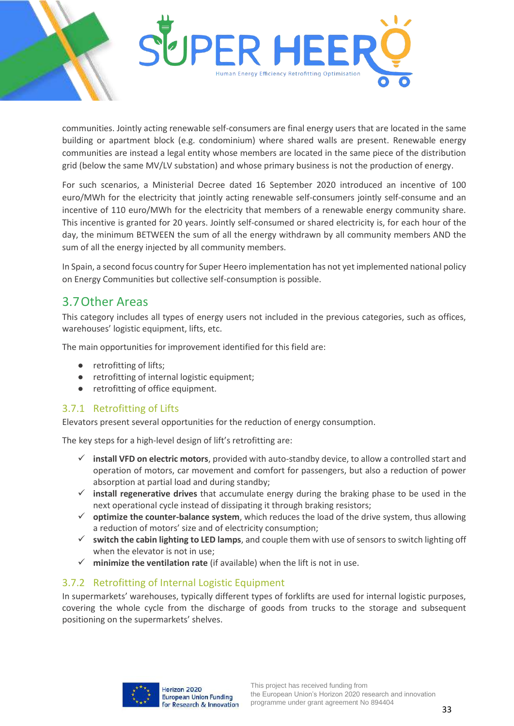

communities. Jointly acting renewable self-consumers are final energy users that are located in the same building or apartment block (e.g. condominium) where shared walls are present. Renewable energy communities are instead a legal entity whose members are located in the same piece of the distribution grid (below the same MV/LV substation) and whose primary business is not the production of energy.

For such scenarios, a Ministerial Decree dated 16 September 2020 introduced an incentive of 100 euro/MWh for the electricity that jointly acting renewable self-consumers jointly self-consume and an incentive of 110 euro/MWh for the electricity that members of a renewable energy community share. This incentive is granted for 20 years. Jointly self-consumed or shared electricity is, for each hour of the day, the minimum BETWEEN the sum of all the energy withdrawn by all community members AND the sum of all the energy injected by all community members.

In Spain, a second focus country for Super Heero implementation has not yet implemented national policy on Energy Communities but collective self-consumption is possible.

## <span id="page-32-0"></span>3.7Other Areas

This category includes all types of energy users not included in the previous categories, such as offices, warehouses' logistic equipment, lifts, etc.

The main opportunities for improvement identified for this field are:

- retrofitting of lifts;
- retrofitting of internal logistic equipment;
- retrofitting of office equipment.

#### <span id="page-32-1"></span>3.7.1 Retrofitting of Lifts

Elevators present several opportunities for the reduction of energy consumption.

The key steps for a high-level design of lift's retrofitting are:

- ✓ **install VFD on electric motors**, provided with auto-standby device, to allow a controlled start and operation of motors, car movement and comfort for passengers, but also a reduction of power absorption at partial load and during standby;
- ✓ **install regenerative drives** that accumulate energy during the braking phase to be used in the next operational cycle instead of dissipating it through braking resistors;
- ✓ **optimize the counter-balance system**, which reduces the load of the drive system, thus allowing a reduction of motors' size and of electricity consumption;
- ✓ **switch the cabin lighting to LED lamps**, and couple them with use of sensors to switch lighting off when the elevator is not in use;
- ✓ **minimize the ventilation rate** (if available) when the lift is not in use.

#### <span id="page-32-2"></span>3.7.2 Retrofitting of Internal Logistic Equipment

In supermarkets' warehouses, typically different types of forklifts are used for internal logistic purposes, covering the whole cycle from the discharge of goods from trucks to the storage and subsequent positioning on the supermarkets' shelves.

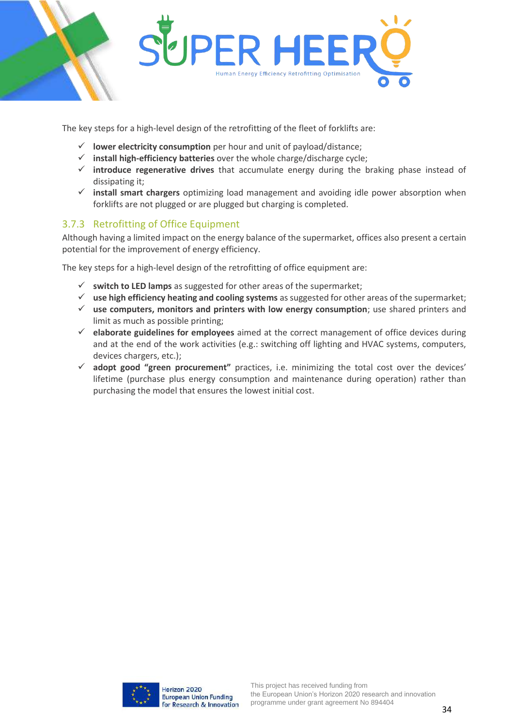

The key steps for a high-level design of the retrofitting of the fleet of forklifts are:

- ✓ **lower electricity consumption** per hour and unit of payload/distance;
- ✓ **install high-efficiency batteries** over the whole charge/discharge cycle;
- ✓ **introduce regenerative drives** that accumulate energy during the braking phase instead of dissipating it;
- ✓ **install smart chargers** optimizing load management and avoiding idle power absorption when forklifts are not plugged or are plugged but charging is completed.

#### <span id="page-33-0"></span>3.7.3 Retrofitting of Office Equipment

Although having a limited impact on the energy balance of the supermarket, offices also present a certain potential for the improvement of energy efficiency.

The key steps for a high-level design of the retrofitting of office equipment are:

- ✓ **switch to LED lamps** as suggested for other areas of the supermarket;
- ✓ **use high efficiency heating and cooling systems** as suggested for other areas of the supermarket;
- ✓ **use computers, monitors and printers with low energy consumption**; use shared printers and limit as much as possible printing;
- ✓ **elaborate guidelines for employees** aimed at the correct management of office devices during and at the end of the work activities (e.g.: switching off lighting and HVAC systems, computers, devices chargers, etc.);
- ✓ **adopt good "green procurement"** practices, i.e. minimizing the total cost over the devices' lifetime (purchase plus energy consumption and maintenance during operation) rather than purchasing the model that ensures the lowest initial cost.

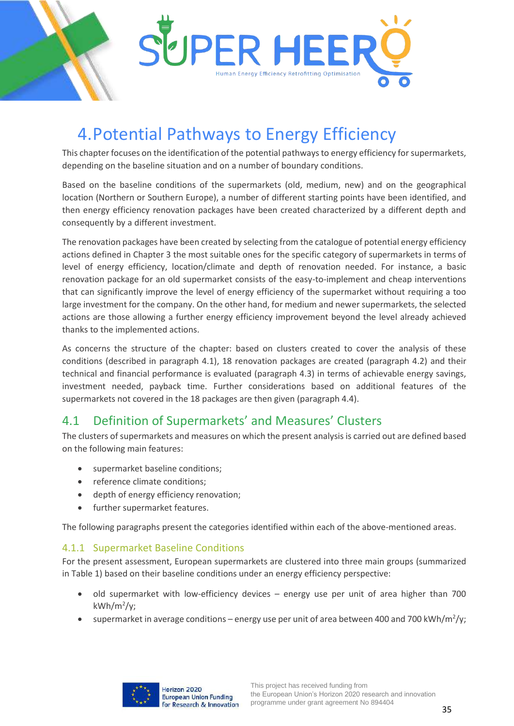

# <span id="page-34-0"></span>4.Potential Pathways to Energy Efficiency

This chapter focuses on the identification of the potential pathways to energy efficiency for supermarkets, depending on the baseline situation and on a number of boundary conditions.

Based on the baseline conditions of the supermarkets (old, medium, new) and on the geographical location (Northern or Southern Europe), a number of different starting points have been identified, and then energy efficiency renovation packages have been created characterized by a different depth and consequently by a different investment.

The renovation packages have been created by selecting from the catalogue of potential energy efficiency actions defined in Chapter 3 the most suitable ones for the specific category of supermarkets in terms of level of energy efficiency, location/climate and depth of renovation needed. For instance, a basic renovation package for an old supermarket consists of the easy-to-implement and cheap interventions that can significantly improve the level of energy efficiency of the supermarket without requiring a too large investment for the company. On the other hand, for medium and newer supermarkets, the selected actions are those allowing a further energy efficiency improvement beyond the level already achieved thanks to the implemented actions.

As concerns the structure of the chapter: based on clusters created to cover the analysis of these conditions (described in paragraph 4.1), 18 renovation packages are created (paragraph 4.2) and their technical and financial performance is evaluated (paragraph 4.3) in terms of achievable energy savings, investment needed, payback time. Further considerations based on additional features of the supermarkets not covered in the 18 packages are then given (paragraph 4.4).

## <span id="page-34-1"></span>4.1 Definition of Supermarkets' and Measures' Clusters

The clusters of supermarkets and measures on which the present analysis is carried out are defined based on the following main features:

- supermarket baseline conditions;
- reference climate conditions;
- depth of energy efficiency renovation;
- further supermarket features.

The following paragraphs present the categories identified within each of the above-mentioned areas.

#### <span id="page-34-2"></span>4.1.1 Supermarket Baseline Conditions

For the present assessment, European supermarkets are clustered into three main groups (summarized in [Table 1\)](#page-35-2) based on their baseline conditions under an energy efficiency perspective:

- old supermarket with low-efficiency devices energy use per unit of area higher than 700 kWh/m<sup>2</sup> /y;
- supermarket in average conditions energy use per unit of area between 400 and 700 kWh/m<sup>2</sup>/y;

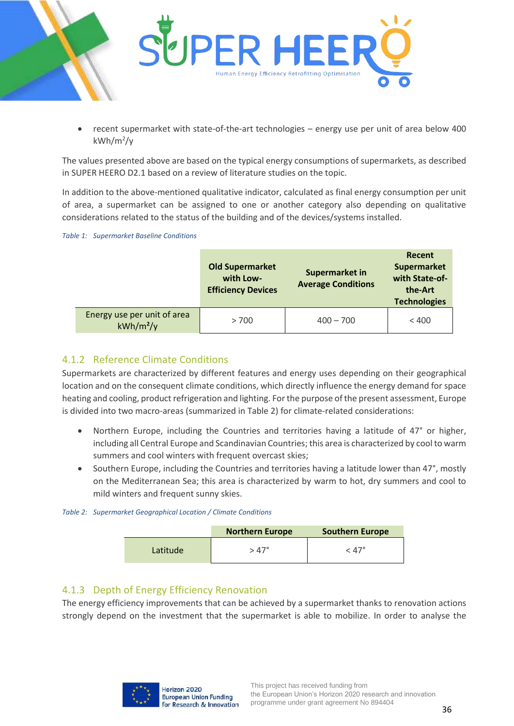

• recent supermarket with state-of-the-art technologies – energy use per unit of area below 400 kWh/m<sup>2</sup> /y

The values presented above are based on the typical energy consumptions of supermarkets, as described in SUPER HEERO D2.1 based on a review of literature studies on the topic.

In addition to the above-mentioned qualitative indicator, calculated as final energy consumption per unit of area, a supermarket can be assigned to one or another category also depending on qualitative considerations related to the status of the building and of the devices/systems installed.

#### <span id="page-35-2"></span>*Table 1: Supermarket Baseline Conditions*

|                                            | <b>Old Supermarket</b><br>with Low-<br><b>Efficiency Devices</b> | Supermarket in<br><b>Average Conditions</b> | Recent<br><b>Supermarket</b><br>with State-of-<br>the-Art<br><b>Technologies</b> |
|--------------------------------------------|------------------------------------------------------------------|---------------------------------------------|----------------------------------------------------------------------------------|
| Energy use per unit of area<br>$kWh/m^2/y$ | >700                                                             | $400 - 700$                                 | < 400                                                                            |

#### <span id="page-35-0"></span>4.1.2 Reference Climate Conditions

Supermarkets are characterized by different features and energy uses depending on their geographical location and on the consequent climate conditions, which directly influence the energy demand for space heating and cooling, product refrigeration and lighting. For the purpose of the present assessment, Europe is divided into two macro-areas (summarized i[n Table 2\)](#page-35-3) for climate-related considerations:

- Northern Europe, including the Countries and territories having a latitude of 47° or higher, including all Central Europe and Scandinavian Countries; this area is characterized by cool to warm summers and cool winters with frequent overcast skies;
- Southern Europe, including the Countries and territories having a latitude lower than 47°, mostly on the Mediterranean Sea; this area is characterized by warm to hot, dry summers and cool to mild winters and frequent sunny skies.

<span id="page-35-3"></span>

| Table 2: Supermarket Geographical Location / Climate Conditions |  |
|-----------------------------------------------------------------|--|
|-----------------------------------------------------------------|--|

|          | <b>Northern Europe</b> | <b>Southern Europe</b> |
|----------|------------------------|------------------------|
| Latitude |                        | 47° >                  |

#### <span id="page-35-1"></span>4.1.3 Depth of Energy Efficiency Renovation

The energy efficiency improvements that can be achieved by a supermarket thanks to renovation actions strongly depend on the investment that the supermarket is able to mobilize. In order to analyse the

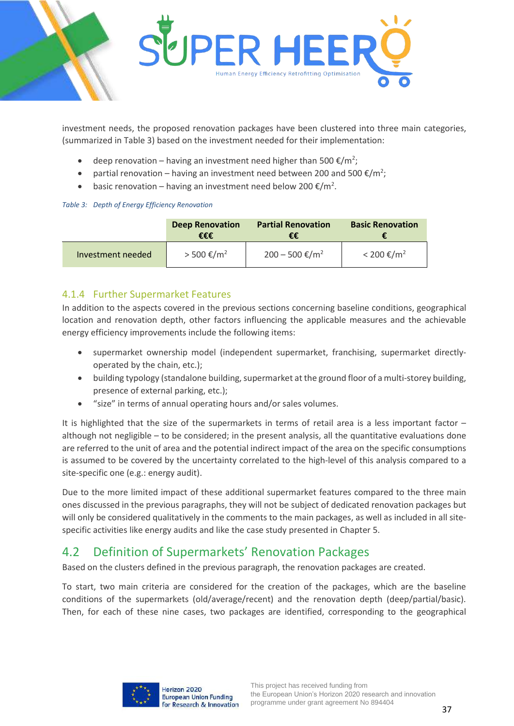

investment needs, the proposed renovation packages have been clustered into three main categories, (summarized i[n Table 3\)](#page-36-2) based on the investment needed for their implementation:

- deep renovation having an investment need higher than 500  $\epsilon/m^2$ ;
- partial renovation having an investment need between 200 and 500  $\epsilon/m^2$ ;
- basic renovation having an investment need below 200  $\epsilon/m^2$ .

#### <span id="page-36-2"></span>*Table 3: Depth of Energy Efficiency Renovation*

|                   | <b>Deep Renovation</b><br>€€€ | <b>Partial Renovation</b><br>€€ | <b>Basic Renovation</b> |  |
|-------------------|-------------------------------|---------------------------------|-------------------------|--|
| Investment needed | > 500 €/m <sup>2</sup>        | $200 - 500$ €/m <sup>2</sup>    | $< 200 \text{€/m}^2$    |  |

#### <span id="page-36-0"></span>4.1.4 Further Supermarket Features

In addition to the aspects covered in the previous sections concerning baseline conditions, geographical location and renovation depth, other factors influencing the applicable measures and the achievable energy efficiency improvements include the following items:

- supermarket ownership model (independent supermarket, franchising, supermarket directlyoperated by the chain, etc.);
- building typology (standalone building, supermarket at the ground floor of a multi-storey building, presence of external parking, etc.);
- "size" in terms of annual operating hours and/or sales volumes.

It is highlighted that the size of the supermarkets in terms of retail area is a less important factor – although not negligible – to be considered; in the present analysis, all the quantitative evaluations done are referred to the unit of area and the potential indirect impact of the area on the specific consumptions is assumed to be covered by the uncertainty correlated to the high-level of this analysis compared to a site-specific one (e.g.: energy audit).

Due to the more limited impact of these additional supermarket features compared to the three main ones discussed in the previous paragraphs, they will not be subject of dedicated renovation packages but will only be considered qualitatively in the comments to the main packages, as well as included in all sitespecific activities like energy audits and like the case study presented in Chapter 5.

# <span id="page-36-1"></span>4.2 Definition of Supermarkets' Renovation Packages

Based on the clusters defined in the previous paragraph, the renovation packages are created.

To start, two main criteria are considered for the creation of the packages, which are the baseline conditions of the supermarkets (old/average/recent) and the renovation depth (deep/partial/basic). Then, for each of these nine cases, two packages are identified, corresponding to the geographical

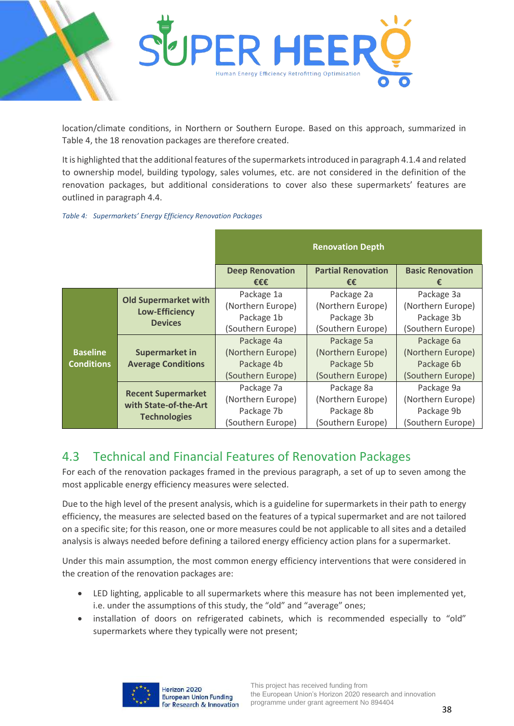

location/climate conditions, in Northern or Southern Europe. Based on this approach, summarized in [Table 4,](#page-37-1) the 18 renovation packages are therefore created.

It is highlighted that the additional features of the supermarkets introduced in paragraph 4.1.4 and related to ownership model, building typology, sales volumes, etc. are not considered in the definition of the renovation packages, but additional considerations to cover also these supermarkets' features are outlined in paragraph 4.4.

#### <span id="page-37-1"></span>*Table 4: Supermarkets' Energy Efficiency Renovation Packages*

|                                      |                                                                           | <b>Renovation Depth</b>                                            |                                                                    |                                                                    |  |
|--------------------------------------|---------------------------------------------------------------------------|--------------------------------------------------------------------|--------------------------------------------------------------------|--------------------------------------------------------------------|--|
|                                      |                                                                           | <b>Deep Renovation</b><br>€€€                                      | <b>Partial Renovation</b><br>€€                                    | <b>Basic Renovation</b>                                            |  |
|                                      | <b>Old Supermarket with</b><br><b>Low-Efficiency</b><br><b>Devices</b>    | Package 1a<br>(Northern Europe)<br>Package 1b<br>(Southern Europe) | Package 2a<br>(Northern Europe)<br>Package 3b<br>(Southern Europe) | Package 3a<br>(Northern Europe)<br>Package 3b<br>(Southern Europe) |  |
| <b>Baseline</b><br><b>Conditions</b> | <b>Supermarket in</b><br><b>Average Conditions</b>                        | Package 4a<br>(Northern Europe)<br>Package 4b<br>(Southern Europe) | Package 5a<br>(Northern Europe)<br>Package 5b<br>(Southern Europe) | Package 6a<br>(Northern Europe)<br>Package 6b<br>(Southern Europe) |  |
|                                      | <b>Recent Supermarket</b><br>with State-of-the-Art<br><b>Technologies</b> | Package 7a<br>(Northern Europe)<br>Package 7b<br>(Southern Europe) | Package 8a<br>(Northern Europe)<br>Package 8b<br>(Southern Europe) | Package 9a<br>(Northern Europe)<br>Package 9b<br>(Southern Europe) |  |

## <span id="page-37-0"></span>4.3 Technical and Financial Features of Renovation Packages

For each of the renovation packages framed in the previous paragraph, a set of up to seven among the most applicable energy efficiency measures were selected.

Due to the high level of the present analysis, which is a guideline for supermarkets in their path to energy efficiency, the measures are selected based on the features of a typical supermarket and are not tailored on a specific site; for this reason, one or more measures could be not applicable to all sites and a detailed analysis is always needed before defining a tailored energy efficiency action plans for a supermarket.

Under this main assumption, the most common energy efficiency interventions that were considered in the creation of the renovation packages are:

- LED lighting, applicable to all supermarkets where this measure has not been implemented yet, i.e. under the assumptions of this study, the "old" and "average" ones;
- installation of doors on refrigerated cabinets, which is recommended especially to "old" supermarkets where they typically were not present;

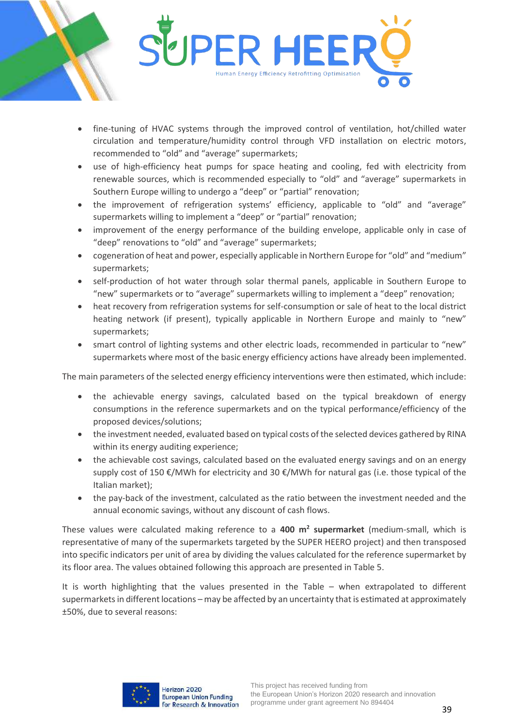

- fine-tuning of HVAC systems through the improved control of ventilation, hot/chilled water circulation and temperature/humidity control through VFD installation on electric motors, recommended to "old" and "average" supermarkets;
- use of high-efficiency heat pumps for space heating and cooling, fed with electricity from renewable sources, which is recommended especially to "old" and "average" supermarkets in Southern Europe willing to undergo a "deep" or "partial" renovation;
- the improvement of refrigeration systems' efficiency, applicable to "old" and "average" supermarkets willing to implement a "deep" or "partial" renovation;
- improvement of the energy performance of the building envelope, applicable only in case of "deep" renovations to "old" and "average" supermarkets;
- cogeneration of heat and power, especially applicable in Northern Europe for "old" and "medium" supermarkets;
- self-production of hot water through solar thermal panels, applicable in Southern Europe to "new" supermarkets or to "average" supermarkets willing to implement a "deep" renovation;
- heat recovery from refrigeration systems for self-consumption or sale of heat to the local district heating network (if present), typically applicable in Northern Europe and mainly to "new" supermarkets;
- smart control of lighting systems and other electric loads, recommended in particular to "new" supermarkets where most of the basic energy efficiency actions have already been implemented.

The main parameters of the selected energy efficiency interventions were then estimated, which include:

- the achievable energy savings, calculated based on the typical breakdown of energy consumptions in the reference supermarkets and on the typical performance/efficiency of the proposed devices/solutions;
- the investment needed, evaluated based on typical costs of the selected devices gathered by RINA within its energy auditing experience;
- the achievable cost savings, calculated based on the evaluated energy savings and on an energy supply cost of 150 €/MWh for electricity and 30 €/MWh for natural gas (i.e. those typical of the Italian market);
- the pay-back of the investment, calculated as the ratio between the investment needed and the annual economic savings, without any discount of cash flows.

These values were calculated making reference to a **400 m<sup>2</sup> supermarket** (medium-small, which is representative of many of the supermarkets targeted by the SUPER HEERO project) and then transposed into specific indicators per unit of area by dividing the values calculated for the reference supermarket by its floor area. The values obtained following this approach are presented i[n Table 5.](#page-40-0)

It is worth highlighting that the values presented in the Table – when extrapolated to different supermarkets in different locations – may be affected by an uncertainty that is estimated at approximately ±50%, due to several reasons:

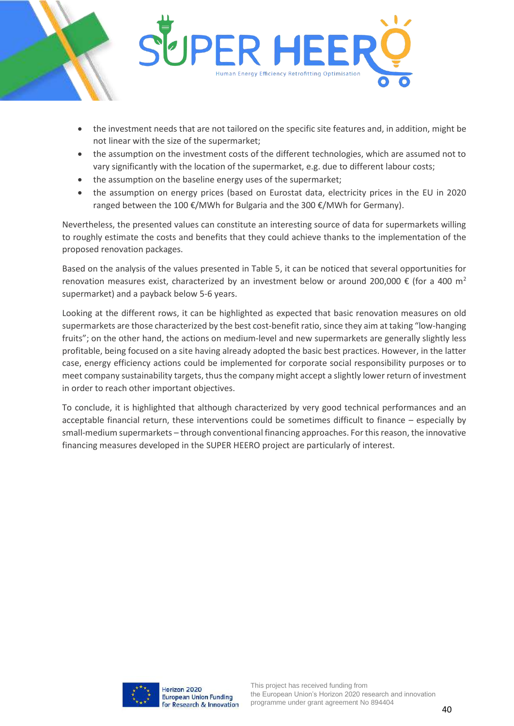

- the investment needs that are not tailored on the specific site features and, in addition, might be not linear with the size of the supermarket;
- the assumption on the investment costs of the different technologies, which are assumed not to vary significantly with the location of the supermarket, e.g. due to different labour costs;
- the assumption on the baseline energy uses of the supermarket;
- the assumption on energy prices (based on Eurostat data, electricity prices in the EU in 2020 ranged between the 100  $\epsilon$ /MWh for Bulgaria and the 300  $\epsilon$ /MWh for Germany).

Nevertheless, the presented values can constitute an interesting source of data for supermarkets willing to roughly estimate the costs and benefits that they could achieve thanks to the implementation of the proposed renovation packages.

Based on the analysis of the values presented in [Table 5,](#page-40-0) it can be noticed that several opportunities for renovation measures exist, characterized by an investment below or around 200,000  $\epsilon$  (for a 400 m<sup>2</sup> supermarket) and a payback below 5-6 years.

Looking at the different rows, it can be highlighted as expected that basic renovation measures on old supermarkets are those characterized by the best cost-benefit ratio, since they aim at taking "low-hanging fruits"; on the other hand, the actions on medium-level and new supermarkets are generally slightly less profitable, being focused on a site having already adopted the basic best practices. However, in the latter case, energy efficiency actions could be implemented for corporate social responsibility purposes or to meet company sustainability targets, thus the company might accept a slightly lower return of investment in order to reach other important objectives.

To conclude, it is highlighted that although characterized by very good technical performances and an acceptable financial return, these interventions could be sometimes difficult to finance – especially by small-medium supermarkets – through conventional financing approaches. For this reason, the innovative financing measures developed in the SUPER HEERO project are particularly of interest.

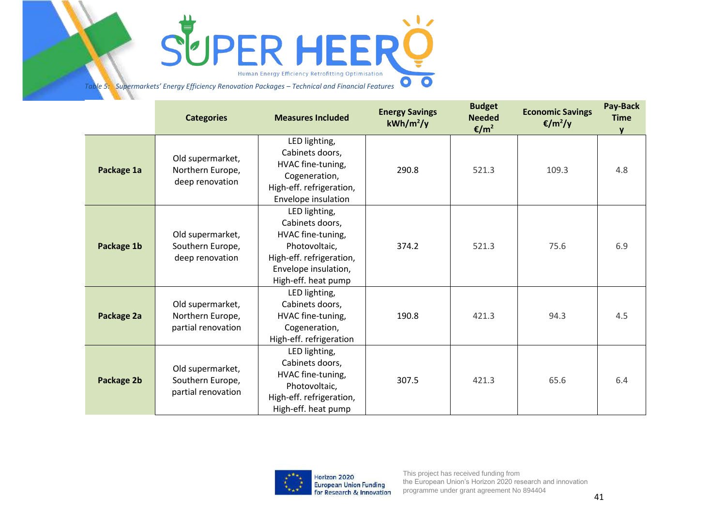

*Table 5: Supermarkets' Energy Efficiency Renovation Packages – Technical and Financial Features*

<span id="page-40-0"></span>

|            | <b>Categories</b>                                          | <b>Measures Included</b>                                                                                                                          | <b>Energy Savings</b><br>$kWh/m^2/y$ | <b>Budget</b><br><b>Needed</b><br>€/m <sup>2</sup> | <b>Economic Savings</b><br>€/m <sup>2</sup> /y | Pay-Back<br><b>Time</b><br>$\mathbf{v}$ |
|------------|------------------------------------------------------------|---------------------------------------------------------------------------------------------------------------------------------------------------|--------------------------------------|----------------------------------------------------|------------------------------------------------|-----------------------------------------|
| Package 1a | Old supermarket,<br>Northern Europe,<br>deep renovation    | LED lighting,<br>Cabinets doors,<br>HVAC fine-tuning,<br>Cogeneration,<br>High-eff. refrigeration,<br>Envelope insulation                         | 290.8                                | 521.3                                              | 109.3                                          | 4.8                                     |
| Package 1b | Old supermarket,<br>Southern Europe,<br>deep renovation    | LED lighting,<br>Cabinets doors,<br>HVAC fine-tuning,<br>Photovoltaic,<br>High-eff. refrigeration,<br>Envelope insulation,<br>High-eff. heat pump | 374.2                                | 521.3                                              | 75.6                                           | 6.9                                     |
| Package 2a | Old supermarket,<br>Northern Europe,<br>partial renovation | LED lighting,<br>Cabinets doors,<br>HVAC fine-tuning,<br>Cogeneration,<br>High-eff. refrigeration                                                 | 190.8                                | 421.3                                              | 94.3                                           | 4.5                                     |
| Package 2b | Old supermarket,<br>Southern Europe,<br>partial renovation | LED lighting,<br>Cabinets doors,<br>HVAC fine-tuning,<br>Photovoltaic,<br>High-eff. refrigeration,<br>High-eff. heat pump                         | 307.5                                | 421.3                                              | 65.6                                           | 6.4                                     |

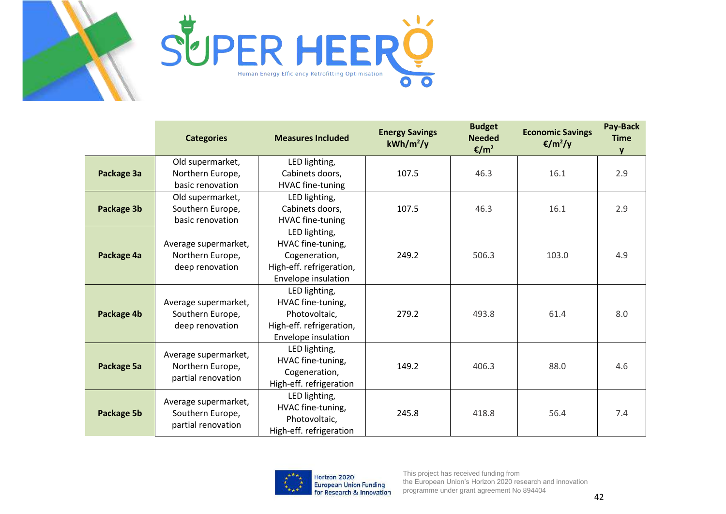



|            | <b>Categories</b>                                              | <b>Measures Included</b>                                                                               | <b>Energy Savings</b><br>$kWh/m^2/y$ | <b>Budget</b><br><b>Needed</b><br>€/m <sup>2</sup> | <b>Economic Savings</b><br>€/m <sup>2</sup> /y | Pay-Back<br><b>Time</b><br>v |
|------------|----------------------------------------------------------------|--------------------------------------------------------------------------------------------------------|--------------------------------------|----------------------------------------------------|------------------------------------------------|------------------------------|
| Package 3a | Old supermarket,<br>Northern Europe,<br>basic renovation       | LED lighting,<br>Cabinets doors,<br><b>HVAC fine-tuning</b>                                            | 107.5                                | 46.3                                               | 16.1                                           | 2.9                          |
| Package 3b | Old supermarket,<br>Southern Europe,<br>basic renovation       | LED lighting,<br>Cabinets doors,<br><b>HVAC fine-tuning</b>                                            | 107.5                                | 46.3                                               | 16.1                                           | 2.9                          |
| Package 4a | Average supermarket,<br>Northern Europe,<br>deep renovation    | LED lighting,<br>HVAC fine-tuning,<br>Cogeneration,<br>High-eff. refrigeration,<br>Envelope insulation | 249.2                                | 506.3                                              | 103.0                                          | 4.9                          |
| Package 4b | Average supermarket,<br>Southern Europe,<br>deep renovation    | LED lighting,<br>HVAC fine-tuning,<br>Photovoltaic,<br>High-eff. refrigeration,<br>Envelope insulation | 279.2                                | 493.8                                              | 61.4                                           | 8.0                          |
| Package 5a | Average supermarket,<br>Northern Europe,<br>partial renovation | LED lighting,<br>HVAC fine-tuning,<br>Cogeneration,<br>High-eff. refrigeration                         | 149.2                                | 406.3                                              | 88.0                                           | 4.6                          |
| Package 5b | Average supermarket,<br>Southern Europe,<br>partial renovation | LED lighting,<br>HVAC fine-tuning,<br>Photovoltaic,<br>High-eff. refrigeration                         | 245.8                                | 418.8                                              | 56.4                                           | 7.4                          |

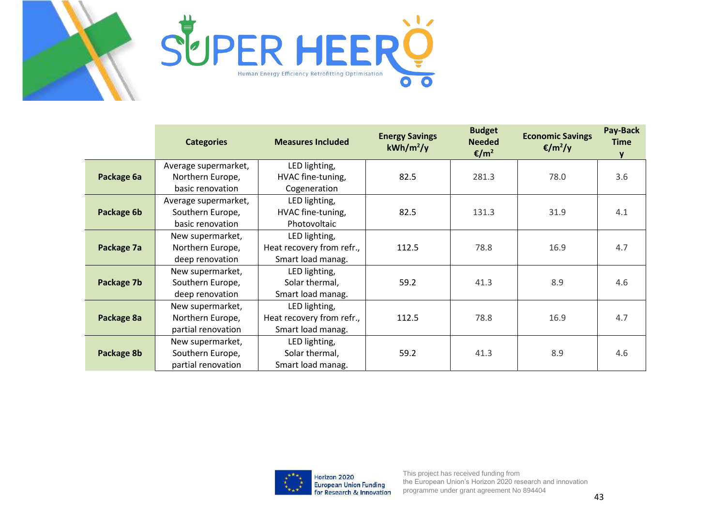



|            | <b>Categories</b>                                          | <b>Measures Included</b>                                        | <b>Energy Savings</b><br>$kWh/m^2/y$ | <b>Budget</b><br><b>Needed</b><br>€/m <sup>2</sup> | <b>Economic Savings</b><br>€/m <sup>2</sup> /y | Pay-Back<br><b>Time</b> |
|------------|------------------------------------------------------------|-----------------------------------------------------------------|--------------------------------------|----------------------------------------------------|------------------------------------------------|-------------------------|
|            | Average supermarket,<br>Northern Europe,                   | LED lighting,<br>HVAC fine-tuning,                              | 82.5                                 | 281.3                                              | 78.0                                           | 3.6                     |
| Package 6a | basic renovation                                           | Cogeneration                                                    |                                      |                                                    |                                                |                         |
|            | Average supermarket,                                       | LED lighting,                                                   |                                      |                                                    |                                                |                         |
| Package 6b | Southern Europe,<br>basic renovation                       | HVAC fine-tuning,<br>82.5<br>Photovoltaic                       |                                      | 131.3                                              | 31.9                                           | 4.1                     |
| Package 7a | New supermarket,<br>Northern Europe,<br>deep renovation    | LED lighting,<br>Heat recovery from refr.,<br>Smart load manag. | 112.5                                | 78.8                                               | 16.9                                           | 4.7                     |
| Package 7b | New supermarket,<br>Southern Europe,<br>deep renovation    | LED lighting,<br>Solar thermal,<br>Smart load manag.            | 59.2                                 | 41.3                                               | 8.9                                            | 4.6                     |
| Package 8a | New supermarket,<br>Northern Europe,<br>partial renovation | LED lighting,<br>Heat recovery from refr.,<br>Smart load manag. | 112.5                                | 78.8                                               | 16.9                                           | 4.7                     |
| Package 8b | New supermarket,<br>Southern Europe,<br>partial renovation | LED lighting,<br>Solar thermal,<br>Smart load manag.            | 59.2                                 | 41.3                                               | 8.9                                            | 4.6                     |

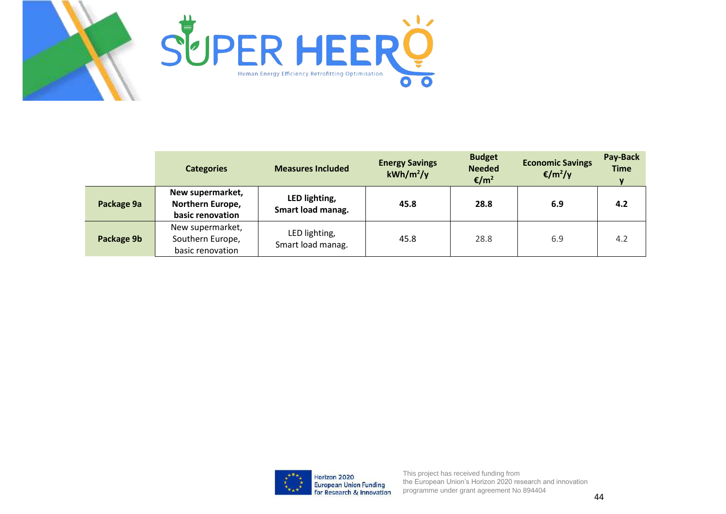



|            | <b>Categories</b>                                        | <b>Measures Included</b>           | <b>Energy Savings</b><br>$kWh/m^2/y$ | <b>Budget</b><br><b>Needed</b><br>€/m <sup>2</sup> | <b>Economic Savings</b><br>$E/m^2/y$ | Pay-Back<br><b>Time</b> |
|------------|----------------------------------------------------------|------------------------------------|--------------------------------------|----------------------------------------------------|--------------------------------------|-------------------------|
| Package 9a | New supermarket,<br>Northern Europe,<br>basic renovation | LED lighting,<br>Smart load manag. | 45.8                                 | 28.8                                               | 6.9                                  | 4.2                     |
| Package 9b | New supermarket,<br>Southern Europe,<br>basic renovation | LED lighting,<br>Smart load manag. | 45.8                                 | 28.8                                               | 6.9                                  | 4.2                     |

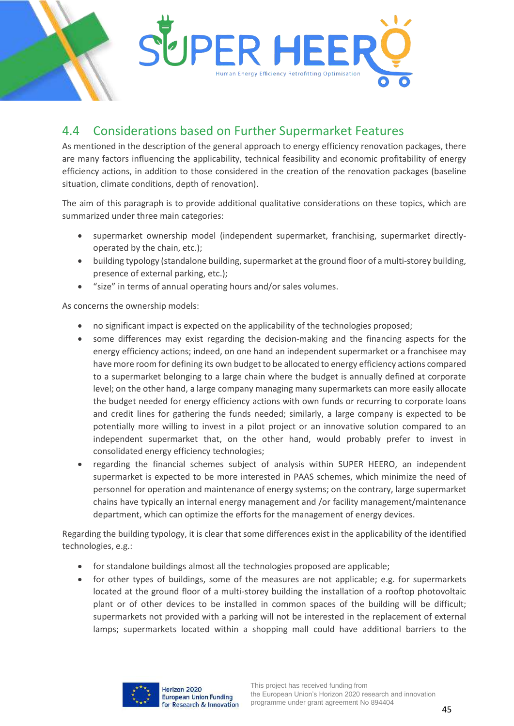

# <span id="page-44-0"></span>4.4 Considerations based on Further Supermarket Features

As mentioned in the description of the general approach to energy efficiency renovation packages, there are many factors influencing the applicability, technical feasibility and economic profitability of energy efficiency actions, in addition to those considered in the creation of the renovation packages (baseline situation, climate conditions, depth of renovation).

The aim of this paragraph is to provide additional qualitative considerations on these topics, which are summarized under three main categories:

- supermarket ownership model (independent supermarket, franchising, supermarket directlyoperated by the chain, etc.);
- building typology (standalone building, supermarket at the ground floor of a multi-storey building, presence of external parking, etc.);
- "size" in terms of annual operating hours and/or sales volumes.

As concerns the ownership models:

- no significant impact is expected on the applicability of the technologies proposed;
- some differences may exist regarding the decision-making and the financing aspects for the energy efficiency actions; indeed, on one hand an independent supermarket or a franchisee may have more room for defining its own budget to be allocated to energy efficiency actions compared to a supermarket belonging to a large chain where the budget is annually defined at corporate level; on the other hand, a large company managing many supermarkets can more easily allocate the budget needed for energy efficiency actions with own funds or recurring to corporate loans and credit lines for gathering the funds needed; similarly, a large company is expected to be potentially more willing to invest in a pilot project or an innovative solution compared to an independent supermarket that, on the other hand, would probably prefer to invest in consolidated energy efficiency technologies;
- regarding the financial schemes subject of analysis within SUPER HEERO, an independent supermarket is expected to be more interested in PAAS schemes, which minimize the need of personnel for operation and maintenance of energy systems; on the contrary, large supermarket chains have typically an internal energy management and /or facility management/maintenance department, which can optimize the efforts for the management of energy devices.

Regarding the building typology, it is clear that some differences exist in the applicability of the identified technologies, e.g.:

- for standalone buildings almost all the technologies proposed are applicable;
- for other types of buildings, some of the measures are not applicable; e.g. for supermarkets located at the ground floor of a multi-storey building the installation of a rooftop photovoltaic plant or of other devices to be installed in common spaces of the building will be difficult; supermarkets not provided with a parking will not be interested in the replacement of external lamps; supermarkets located within a shopping mall could have additional barriers to the

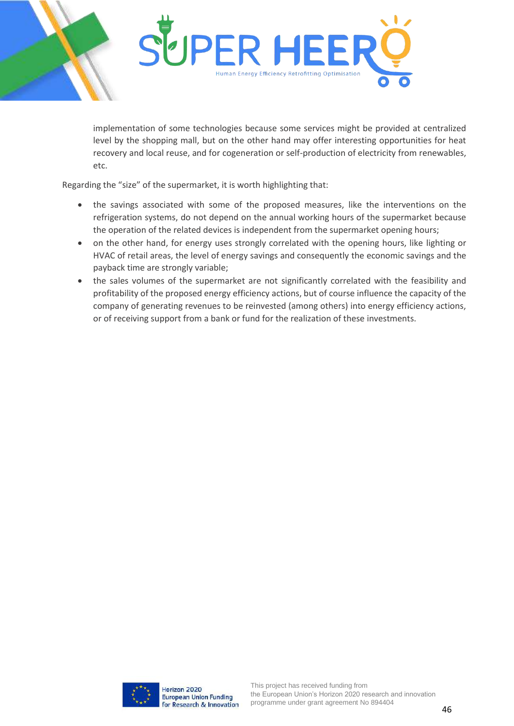

implementation of some technologies because some services might be provided at centralized level by the shopping mall, but on the other hand may offer interesting opportunities for heat recovery and local reuse, and for cogeneration or self-production of electricity from renewables, etc.

Regarding the "size" of the supermarket, it is worth highlighting that:

- the savings associated with some of the proposed measures, like the interventions on the refrigeration systems, do not depend on the annual working hours of the supermarket because the operation of the related devices is independent from the supermarket opening hours;
- on the other hand, for energy uses strongly correlated with the opening hours, like lighting or HVAC of retail areas, the level of energy savings and consequently the economic savings and the payback time are strongly variable;
- the sales volumes of the supermarket are not significantly correlated with the feasibility and profitability of the proposed energy efficiency actions, but of course influence the capacity of the company of generating revenues to be reinvested (among others) into energy efficiency actions, or of receiving support from a bank or fund for the realization of these investments.

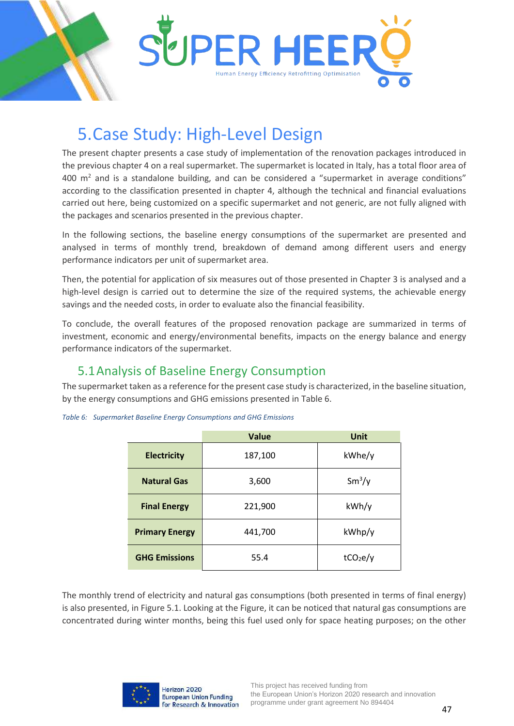

# <span id="page-46-0"></span>5.Case Study: High-Level Design

The present chapter presents a case study of implementation of the renovation packages introduced in the previous chapter 4 on a real supermarket. The supermarket is located in Italy, has a total floor area of 400  $m<sup>2</sup>$  and is a standalone building, and can be considered a "supermarket in average conditions" according to the classification presented in chapter 4, although the technical and financial evaluations carried out here, being customized on a specific supermarket and not generic, are not fully aligned with the packages and scenarios presented in the previous chapter.

In the following sections, the baseline energy consumptions of the supermarket are presented and analysed in terms of monthly trend, breakdown of demand among different users and energy performance indicators per unit of supermarket area.

Then, the potential for application of six measures out of those presented in Chapter 3 is analysed and a high-level design is carried out to determine the size of the required systems, the achievable energy savings and the needed costs, in order to evaluate also the financial feasibility.

To conclude, the overall features of the proposed renovation package are summarized in terms of investment, economic and energy/environmental benefits, impacts on the energy balance and energy performance indicators of the supermarket.

## <span id="page-46-1"></span>5.1Analysis of Baseline Energy Consumption

The supermarket taken as a reference for the present case study is characterized, in the baseline situation, by the energy consumptions and GHG emissions presented in [Table 6.](#page-46-2)

|                       | <b>Value</b> | <b>Unit</b>          |
|-----------------------|--------------|----------------------|
| <b>Electricity</b>    | 187,100      | kWhe/y               |
| <b>Natural Gas</b>    | 3,600        | $Sm^3/y$             |
| <b>Final Energy</b>   | 221,900      | kWh/y                |
| <b>Primary Energy</b> | 441,700      | kWhp/y               |
| <b>GHG Emissions</b>  | 55.4         | tCO <sub>2</sub> e/y |

<span id="page-46-2"></span>*Table 6: Supermarket Baseline Energy Consumptions and GHG Emissions*

The monthly trend of electricity and natural gas consumptions (both presented in terms of final energy) is also presented, in [Figure 5.1.](#page-47-0) Looking at the Figure, it can be noticed that natural gas consumptions are concentrated during winter months, being this fuel used only for space heating purposes; on the other

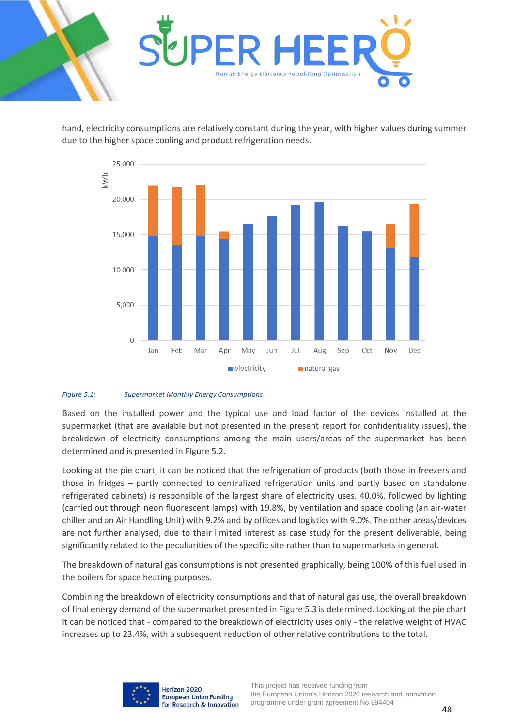

hand, electricity consumptions are relatively constant during the year, with higher values during summer due to the higher space cooling and product refrigeration needs.



#### <span id="page-47-0"></span>*Figure 5.1: Supermarket Monthly Energy Consumptions*

Based on the installed power and the typical use and load factor of the devices installed at the supermarket (that are available but not presented in the present report for confidentiality issues), the breakdown of electricity consumptions among the main users/areas of the supermarket has been determined and is presented i[n Figure 5.2.](#page-48-0)

Looking at the pie chart, it can be noticed that the refrigeration of products (both those in freezers and those in fridges – partly connected to centralized refrigeration units and partly based on standalone refrigerated cabinets) is responsible of the largest share of electricity uses, 40.0%, followed by lighting (carried out through neon fluorescent lamps) with 19.8%, by ventilation and space cooling (an air-water chiller and an Air Handling Unit) with 9.2% and by offices and logistics with 9.0%. The other areas/devices are not further analysed, due to their limited interest as case study for the present deliverable, being significantly related to the peculiarities of the specific site rather than to supermarkets in general.

The breakdown of natural gas consumptions is not presented graphically, being 100% of this fuel used in the boilers for space heating purposes.

Combining the breakdown of electricity consumptions and that of natural gas use, the overall breakdown of final energy demand of the supermarket presented in [Figure 5.3](#page-48-1) is determined. Looking at the pie chart it can be noticed that - compared to the breakdown of electricity uses only - the relative weight of HVAC increases up to 23.4%, with a subsequent reduction of other relative contributions to the total.

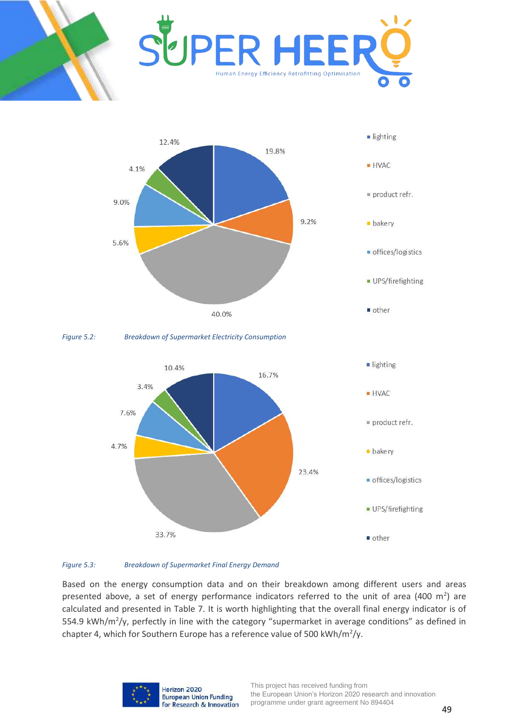





<span id="page-48-0"></span>

*Figure 5.2: Breakdown of Supermarket Electricity Consumption*



#### <span id="page-48-1"></span>*Figure 5.3: Breakdown of Supermarket Final Energy Demand*

Based on the energy consumption data and on their breakdown among different users and areas presented above, a set of energy performance indicators referred to the unit of area (400 m<sup>2</sup>) are calculated and presented in [Table 7.](#page-49-2) It is worth highlighting that the overall final energy indicator is of 554.9 kWh/m<sup>2</sup>/y, perfectly in line with the category "supermarket in average conditions" as defined in chapter 4, which for Southern Europe has a reference value of 500 kWh/m<sup>2</sup>/y.

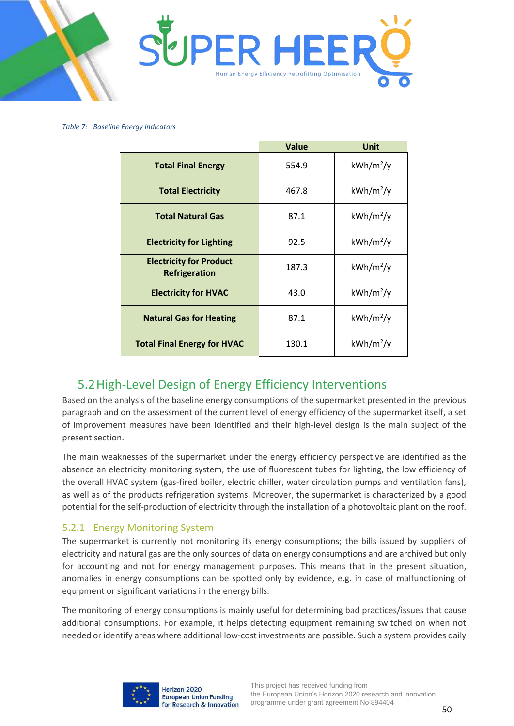

*Table 7: Baseline Energy Indicators*

<span id="page-49-2"></span>

|                                                        | Value | Unit         |
|--------------------------------------------------------|-------|--------------|
| <b>Total Final Energy</b>                              | 554.9 | $kWh/m^2/y$  |
| <b>Total Electricity</b>                               | 467.8 | $kWh/m^2$ /y |
| <b>Total Natural Gas</b>                               | 87.1  | $kWh/m^2/y$  |
| <b>Electricity for Lighting</b>                        | 92.5  | $kWh/m^2$ /y |
| <b>Electricity for Product</b><br><b>Refrigeration</b> | 187.3 | $kWh/m^2/y$  |
| <b>Electricity for HVAC</b>                            | 43.0  | $kWh/m^2/y$  |
| <b>Natural Gas for Heating</b>                         | 87.1  | $kWh/m^2/y$  |
| <b>Total Final Energy for HVAC</b>                     | 130.1 | $kWh/m^2/y$  |

# <span id="page-49-0"></span>5.2High-Level Design of Energy Efficiency Interventions

Based on the analysis of the baseline energy consumptions of the supermarket presented in the previous paragraph and on the assessment of the current level of energy efficiency of the supermarket itself, a set of improvement measures have been identified and their high-level design is the main subject of the present section.

The main weaknesses of the supermarket under the energy efficiency perspective are identified as the absence an electricity monitoring system, the use of fluorescent tubes for lighting, the low efficiency of the overall HVAC system (gas-fired boiler, electric chiller, water circulation pumps and ventilation fans), as well as of the products refrigeration systems. Moreover, the supermarket is characterized by a good potential for the self-production of electricity through the installation of a photovoltaic plant on the roof.

#### <span id="page-49-1"></span>5.2.1 Energy Monitoring System

The supermarket is currently not monitoring its energy consumptions; the bills issued by suppliers of electricity and natural gas are the only sources of data on energy consumptions and are archived but only for accounting and not for energy management purposes. This means that in the present situation, anomalies in energy consumptions can be spotted only by evidence, e.g. in case of malfunctioning of equipment or significant variations in the energy bills.

The monitoring of energy consumptions is mainly useful for determining bad practices/issues that cause additional consumptions. For example, it helps detecting equipment remaining switched on when not needed or identify areas where additional low-cost investments are possible. Such a system provides daily

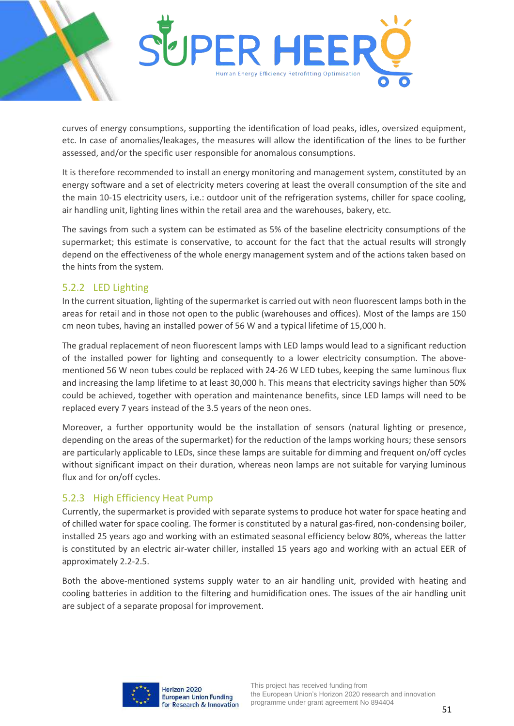

curves of energy consumptions, supporting the identification of load peaks, idles, oversized equipment, etc. In case of anomalies/leakages, the measures will allow the identification of the lines to be further assessed, and/or the specific user responsible for anomalous consumptions.

It is therefore recommended to install an energy monitoring and management system, constituted by an energy software and a set of electricity meters covering at least the overall consumption of the site and the main 10-15 electricity users, i.e.: outdoor unit of the refrigeration systems, chiller for space cooling, air handling unit, lighting lines within the retail area and the warehouses, bakery, etc.

The savings from such a system can be estimated as 5% of the baseline electricity consumptions of the supermarket; this estimate is conservative, to account for the fact that the actual results will strongly depend on the effectiveness of the whole energy management system and of the actions taken based on the hints from the system.

#### <span id="page-50-0"></span>5.2.2 LED Lighting

In the current situation, lighting of the supermarket is carried out with neon fluorescent lamps both in the areas for retail and in those not open to the public (warehouses and offices). Most of the lamps are 150 cm neon tubes, having an installed power of 56 W and a typical lifetime of 15,000 h.

The gradual replacement of neon fluorescent lamps with LED lamps would lead to a significant reduction of the installed power for lighting and consequently to a lower electricity consumption. The abovementioned 56 W neon tubes could be replaced with 24-26 W LED tubes, keeping the same luminous flux and increasing the lamp lifetime to at least 30,000 h. This means that electricity savings higher than 50% could be achieved, together with operation and maintenance benefits, since LED lamps will need to be replaced every 7 years instead of the 3.5 years of the neon ones.

Moreover, a further opportunity would be the installation of sensors (natural lighting or presence, depending on the areas of the supermarket) for the reduction of the lamps working hours; these sensors are particularly applicable to LEDs, since these lamps are suitable for dimming and frequent on/off cycles without significant impact on their duration, whereas neon lamps are not suitable for varying luminous flux and for on/off cycles.

#### <span id="page-50-1"></span>5.2.3 High Efficiency Heat Pump

Currently, the supermarket is provided with separate systems to produce hot water for space heating and of chilled water for space cooling. The former is constituted by a natural gas-fired, non-condensing boiler, installed 25 years ago and working with an estimated seasonal efficiency below 80%, whereas the latter is constituted by an electric air-water chiller, installed 15 years ago and working with an actual EER of approximately 2.2-2.5.

Both the above-mentioned systems supply water to an air handling unit, provided with heating and cooling batteries in addition to the filtering and humidification ones. The issues of the air handling unit are subject of a separate proposal for improvement.

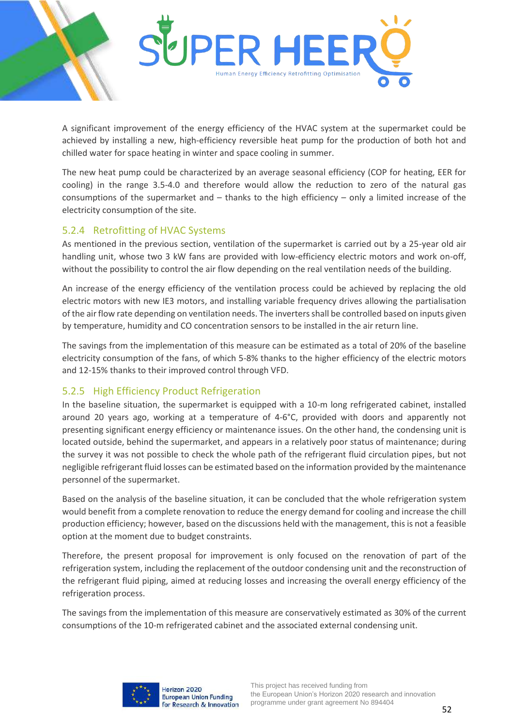

A significant improvement of the energy efficiency of the HVAC system at the supermarket could be achieved by installing a new, high-efficiency reversible heat pump for the production of both hot and chilled water for space heating in winter and space cooling in summer.

The new heat pump could be characterized by an average seasonal efficiency (COP for heating, EER for cooling) in the range 3.5-4.0 and therefore would allow the reduction to zero of the natural gas consumptions of the supermarket and – thanks to the high efficiency – only a limited increase of the electricity consumption of the site.

#### <span id="page-51-0"></span>5.2.4 Retrofitting of HVAC Systems

As mentioned in the previous section, ventilation of the supermarket is carried out by a 25-year old air handling unit, whose two 3 kW fans are provided with low-efficiency electric motors and work on-off, without the possibility to control the air flow depending on the real ventilation needs of the building.

An increase of the energy efficiency of the ventilation process could be achieved by replacing the old electric motors with new IE3 motors, and installing variable frequency drives allowing the partialisation of the air flow rate depending on ventilation needs. The inverters shall be controlled based on inputs given by temperature, humidity and CO concentration sensors to be installed in the air return line.

The savings from the implementation of this measure can be estimated as a total of 20% of the baseline electricity consumption of the fans, of which 5-8% thanks to the higher efficiency of the electric motors and 12-15% thanks to their improved control through VFD.

#### <span id="page-51-1"></span>5.2.5 High Efficiency Product Refrigeration

In the baseline situation, the supermarket is equipped with a 10-m long refrigerated cabinet, installed around 20 years ago, working at a temperature of 4-6°C, provided with doors and apparently not presenting significant energy efficiency or maintenance issues. On the other hand, the condensing unit is located outside, behind the supermarket, and appears in a relatively poor status of maintenance; during the survey it was not possible to check the whole path of the refrigerant fluid circulation pipes, but not negligible refrigerant fluid losses can be estimated based on the information provided by the maintenance personnel of the supermarket.

Based on the analysis of the baseline situation, it can be concluded that the whole refrigeration system would benefit from a complete renovation to reduce the energy demand for cooling and increase the chill production efficiency; however, based on the discussions held with the management, this is not a feasible option at the moment due to budget constraints.

Therefore, the present proposal for improvement is only focused on the renovation of part of the refrigeration system, including the replacement of the outdoor condensing unit and the reconstruction of the refrigerant fluid piping, aimed at reducing losses and increasing the overall energy efficiency of the refrigeration process.

The savings from the implementation of this measure are conservatively estimated as 30% of the current consumptions of the 10-m refrigerated cabinet and the associated external condensing unit.

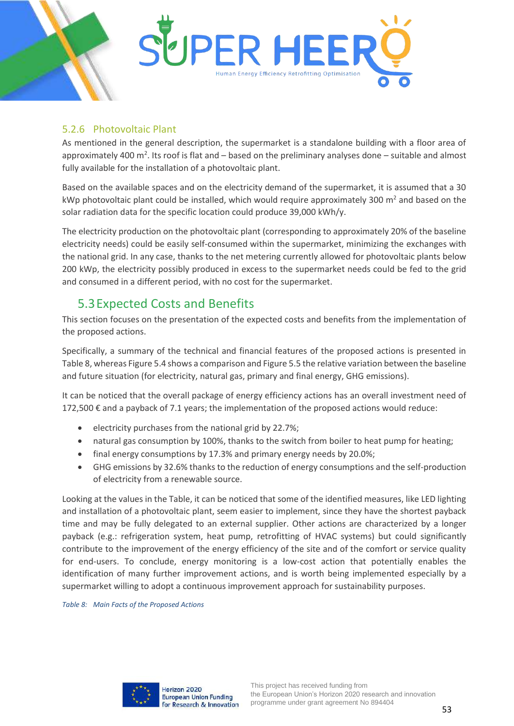

#### <span id="page-52-0"></span>5.2.6 Photovoltaic Plant

As mentioned in the general description, the supermarket is a standalone building with a floor area of approximately 400 m<sup>2</sup>. Its roof is flat and  $-$  based on the preliminary analyses done  $-$  suitable and almost fully available for the installation of a photovoltaic plant.

Based on the available spaces and on the electricity demand of the supermarket, it is assumed that a 30 kWp photovoltaic plant could be installed, which would require approximately 300  $m<sup>2</sup>$  and based on the solar radiation data for the specific location could produce 39,000 kWh/y.

The electricity production on the photovoltaic plant (corresponding to approximately 20% of the baseline electricity needs) could be easily self-consumed within the supermarket, minimizing the exchanges with the national grid. In any case, thanks to the net metering currently allowed for photovoltaic plants below 200 kWp, the electricity possibly produced in excess to the supermarket needs could be fed to the grid and consumed in a different period, with no cost for the supermarket.

### <span id="page-52-1"></span>5.3Expected Costs and Benefits

This section focuses on the presentation of the expected costs and benefits from the implementation of the proposed actions.

Specifically, a summary of the technical and financial features of the proposed actions is presented in [Table 8,](#page-52-2) wherea[s Figure 5.4](#page-54-0) shows a comparison an[d Figure 5.5](#page-54-1) the relative variation between the baseline and future situation (for electricity, natural gas, primary and final energy, GHG emissions).

It can be noticed that the overall package of energy efficiency actions has an overall investment need of 172,500  $€$  and a payback of 7.1 years; the implementation of the proposed actions would reduce:

- electricity purchases from the national grid by 22.7%;
- natural gas consumption by 100%, thanks to the switch from boiler to heat pump for heating;
- final energy consumptions by 17.3% and primary energy needs by 20.0%;
- GHG emissions by 32.6% thanks to the reduction of energy consumptions and the self-production of electricity from a renewable source.

Looking at the values in the Table, it can be noticed that some of the identified measures, like LED lighting and installation of a photovoltaic plant, seem easier to implement, since they have the shortest payback time and may be fully delegated to an external supplier. Other actions are characterized by a longer payback (e.g.: refrigeration system, heat pump, retrofitting of HVAC systems) but could significantly contribute to the improvement of the energy efficiency of the site and of the comfort or service quality for end-users. To conclude, energy monitoring is a low-cost action that potentially enables the identification of many further improvement actions, and is worth being implemented especially by a supermarket willing to adopt a continuous improvement approach for sustainability purposes.

<span id="page-52-2"></span>*Table 8: Main Facts of the Proposed Actions*

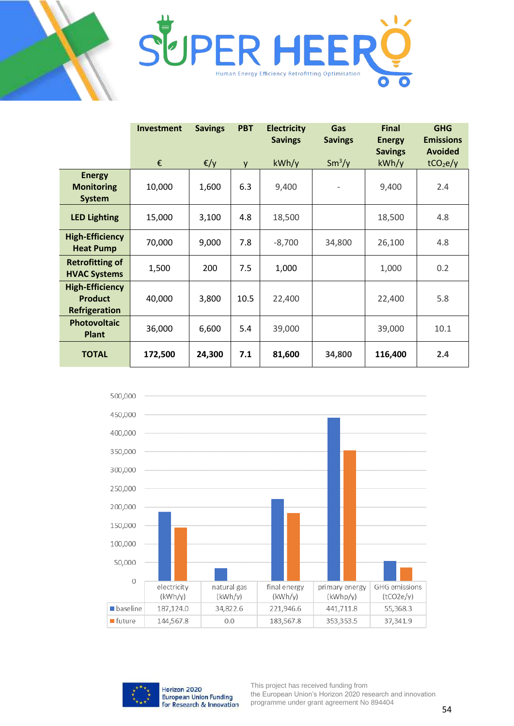



|                                                                  | <b>Investment</b> | <b>Savings</b> | <b>PBT</b> | <b>Electricity</b><br><b>Savings</b> | Gas<br><b>Savings</b>    | <b>Final</b><br><b>Energy</b><br><b>Savings</b> | <b>GHG</b><br><b>Emissions</b><br><b>Avoided</b> |
|------------------------------------------------------------------|-------------------|----------------|------------|--------------------------------------|--------------------------|-------------------------------------------------|--------------------------------------------------|
|                                                                  | €                 | $\epsilon$ /y  | V          | kWh/y                                | $\text{Sm}^3/\text{y}$   | kWh/y                                           | tCO <sub>2</sub> e/y                             |
| <b>Energy</b><br><b>Monitoring</b><br><b>System</b>              | 10,000            | 1,600          | 6.3        | 9,400                                | $\overline{\phantom{0}}$ | 9,400                                           | 2.4                                              |
| <b>LED Lighting</b>                                              | 15,000            | 3,100          | 4.8        | 18,500                               |                          | 18,500                                          | 4.8                                              |
| <b>High-Efficiency</b><br><b>Heat Pump</b>                       | 70,000            | 9,000          | 7.8        | $-8,700$                             | 34,800                   | 26,100                                          | 4.8                                              |
| <b>Retrofitting of</b><br><b>HVAC Systems</b>                    | 1,500             | 200            | 7.5        | 1,000                                |                          | 1,000                                           | 0.2                                              |
| <b>High-Efficiency</b><br><b>Product</b><br><b>Refrigeration</b> | 40,000            | 3,800          | 10.5       | 22,400                               |                          | 22,400                                          | 5.8                                              |
| <b>Photovoltaic</b><br><b>Plant</b>                              | 36,000            | 6,600          | 5.4        | 39,000                               |                          | 39,000                                          | 10.1                                             |
| <b>TOTAL</b>                                                     | 172,500           | 24,300         | 7.1        | 81,600                               | 34,800                   | 116,400                                         | 2.4                                              |





Horizon 2020 **European Union Funding** for Research & Innovation This project has received funding from the European Union's Horizon 2020 research and innovation programme under grant agreement No 894404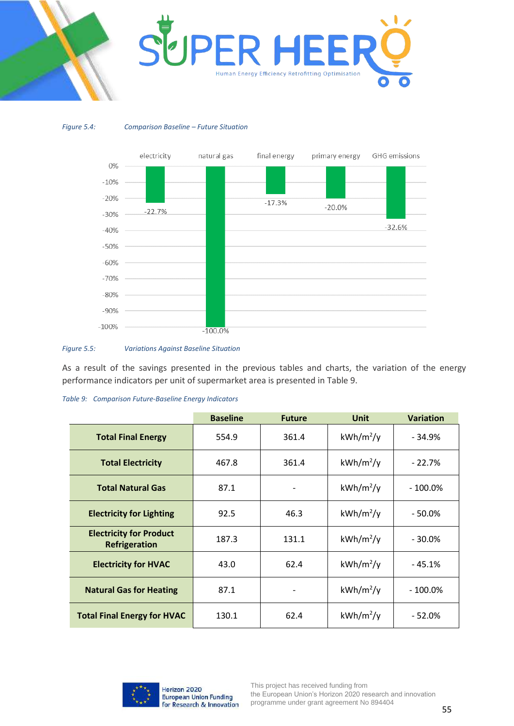

<span id="page-54-0"></span>*Figure 5.4: Comparison Baseline – Future Situation*



#### <span id="page-54-1"></span>*Figure 5.5: Variations Against Baseline Situation*

As a result of the savings presented in the previous tables and charts, the variation of the energy performance indicators per unit of supermarket area is presented in [Table 9.](#page-54-2)

|                                                 | <b>Baseline</b> | <b>Future</b> | <b>Unit</b>  | <b>Variation</b> |
|-------------------------------------------------|-----------------|---------------|--------------|------------------|
| <b>Total Final Energy</b>                       | 554.9           | 361.4         | $kWh/m^2$ /y | - 34.9%          |
| <b>Total Electricity</b>                        | 467.8           | 361.4         | $kWh/m^2/y$  | $-22.7%$         |
| <b>Total Natural Gas</b>                        | 87.1            |               | $kWh/m^2$ /y | - 100.0%         |
| <b>Electricity for Lighting</b>                 | 92.5            | 46.3          | $kWh/m^2$ /y | $-50.0\%$        |
| <b>Electricity for Product</b><br>Refrigeration | 187.3           | 131.1         | $kWh/m^2/y$  | $-30.0\%$        |
| <b>Electricity for HVAC</b>                     | 43.0            | 62.4          | $kWh/m^2$ /y | $-45.1%$         |
| <b>Natural Gas for Heating</b>                  | 87.1            |               | $kWh/m^2/y$  | - 100.0%         |
| <b>Total Final Energy for HVAC</b>              | 130.1           | 62.4          | $kWh/m^2/y$  | $-52.0%$         |

<span id="page-54-2"></span>

|  | Table 9: Comparison Future-Baseline Energy Indicators |  |
|--|-------------------------------------------------------|--|
|  |                                                       |  |



Horizon 2020 **European Union Funding** for Research & Innovation This project has received funding from the European Union's Horizon 2020 research and innovation programme under grant agreement No 894404